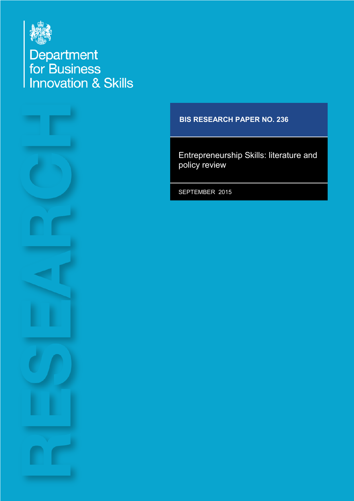

Department<br>for Business<br>Innovation & Skills



### **BIS RESEARCH PAPER NO. 236**

Entrepreneurship Skills: literature and policy review

SEPTEMBER 2015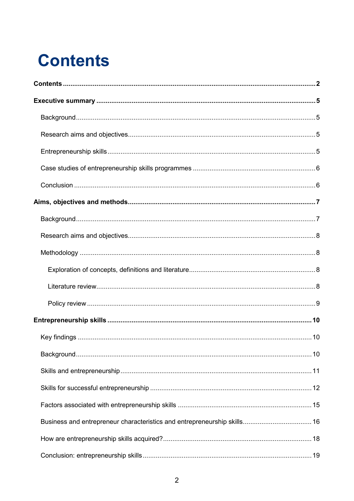# <span id="page-1-0"></span>**Contents**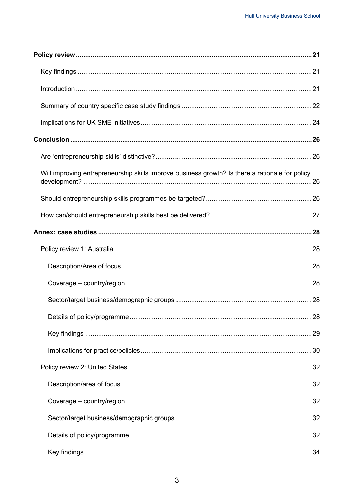| Will improving entrepreneurship skills improve business growth? Is there a rationale for policy |  |
|-------------------------------------------------------------------------------------------------|--|
|                                                                                                 |  |
|                                                                                                 |  |
|                                                                                                 |  |
|                                                                                                 |  |
|                                                                                                 |  |
|                                                                                                 |  |
|                                                                                                 |  |
|                                                                                                 |  |
|                                                                                                 |  |
|                                                                                                 |  |
|                                                                                                 |  |
|                                                                                                 |  |
|                                                                                                 |  |
|                                                                                                 |  |
|                                                                                                 |  |
|                                                                                                 |  |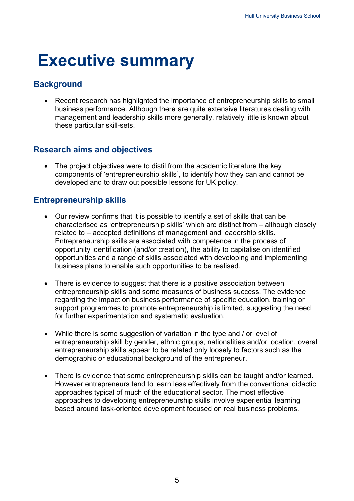## <span id="page-4-0"></span>**Executive summary**

## <span id="page-4-1"></span>**Background**

• Recent research has highlighted the importance of entrepreneurship skills to small business performance. Although there are quite extensive literatures dealing with management and leadership skills more generally, relatively little is known about these particular skill-sets.

## <span id="page-4-2"></span>**Research aims and objectives**

• The project objectives were to distil from the academic literature the key components of 'entrepreneurship skills', to identify how they can and cannot be developed and to draw out possible lessons for UK policy.

## <span id="page-4-3"></span>**Entrepreneurship skills**

- Our review confirms that it is possible to identify a set of skills that can be characterised as 'entrepreneurship skills' which are distinct from – although closely related to – accepted definitions of management and leadership skills. Entrepreneurship skills are associated with competence in the process of opportunity identification (and/or creation), the ability to capitalise on identified opportunities and a range of skills associated with developing and implementing business plans to enable such opportunities to be realised.
- There is evidence to suggest that there is a positive association between entrepreneurship skills and some measures of business success. The evidence regarding the impact on business performance of specific education, training or support programmes to promote entrepreneurship is limited, suggesting the need for further experimentation and systematic evaluation.
- While there is some suggestion of variation in the type and / or level of entrepreneurship skill by gender, ethnic groups, nationalities and/or location, overall entrepreneurship skills appear to be related only loosely to factors such as the demographic or educational background of the entrepreneur.
- There is evidence that some entrepreneurship skills can be taught and/or learned. However entrepreneurs tend to learn less effectively from the conventional didactic approaches typical of much of the educational sector. The most effective approaches to developing entrepreneurship skills involve experiential learning based around task-oriented development focused on real business problems.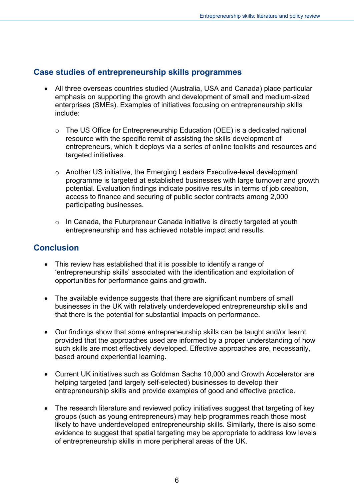## <span id="page-5-0"></span>**Case studies of entrepreneurship skills programmes**

- All three overseas countries studied (Australia, USA and Canada) place particular emphasis on supporting the growth and development of small and medium-sized enterprises (SMEs). Examples of initiatives focusing on entrepreneurship skills include:
	- o The US Office for Entrepreneurship Education (OEE) is a dedicated national resource with the specific remit of assisting the skills development of entrepreneurs, which it deploys via a series of online toolkits and resources and targeted initiatives.
	- o Another US initiative, the Emerging Leaders Executive-level development programme is targeted at established businesses with large turnover and growth potential. Evaluation findings indicate positive results in terms of job creation, access to finance and securing of public sector contracts among 2,000 participating businesses.
	- $\circ$  In Canada, the Futurpreneur Canada initiative is directly targeted at youth entrepreneurship and has achieved notable impact and results.

## <span id="page-5-1"></span>**Conclusion**

- This review has established that it is possible to identify a range of 'entrepreneurship skills' associated with the identification and exploitation of opportunities for performance gains and growth.
- The available evidence suggests that there are significant numbers of small businesses in the UK with relatively underdeveloped entrepreneurship skills and that there is the potential for substantial impacts on performance.
- Our findings show that some entrepreneurship skills can be taught and/or learnt provided that the approaches used are informed by a proper understanding of how such skills are most effectively developed. Effective approaches are, necessarily, based around experiential learning.
- Current UK initiatives such as Goldman Sachs 10,000 and Growth Accelerator are helping targeted (and largely self-selected) businesses to develop their entrepreneurship skills and provide examples of good and effective practice.
- The research literature and reviewed policy initiatives suggest that targeting of key groups (such as young entrepreneurs) may help programmes reach those most likely to have underdeveloped entrepreneurship skills. Similarly, there is also some evidence to suggest that spatial targeting may be appropriate to address low levels of entrepreneurship skills in more peripheral areas of the UK.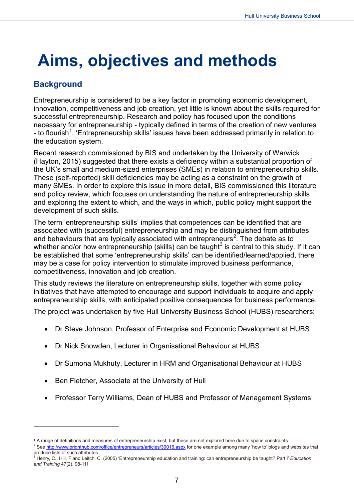## <span id="page-6-0"></span>**Aims, objectives and methods**

## <span id="page-6-1"></span>**Background**

<u>.</u>

Entrepreneurship is considered to be a key factor in promoting economic development, innovation, competitiveness and job creation, yet little is known about the skills required for successful entrepreneurship. Research and policy has focused upon the conditions necessary for entrepreneurship - typically defined in terms of the creation of new ventures - to flourish<sup>[1](#page-6-2)</sup>. 'Entrepreneurship skills' issues have been addressed primarily in relation to the education system.

Recent research commissioned by BIS and undertaken by the University of Warwick (Hayton, 2015) suggested that there exists a deficiency within a substantial proportion of the UK's small and medium-sized enterprises (SMEs) in relation to entrepreneurship skills. These (self-reported) skill deficiencies may be acting as a constraint on the growth of many SMEs. In order to explore this issue in more detail, BIS commissioned this literature and policy review, which focuses on understanding the nature of entrepreneurship skills and exploring the extent to which, and the ways in which, public policy might support the development of such skills.

The term 'entrepreneurship skills' implies that competences can be identified that are associated with (successful) entrepreneurship and may be distinguished from attributes and behaviours that are typically associated with entrepreneurs<sup>[2](#page-6-3)</sup>. The debate as to whether and/or how entrepreneurship (skills) can be taught<sup>[3](#page-6-4)</sup> is central to this study. If it can be established that some 'entrepreneurship skills' can be identified/learned/applied, there may be a case for policy intervention to stimulate improved business performance, competitiveness, innovation and job creation.

This study reviews the literature on entrepreneurship skills, together with some policy initiatives that have attempted to encourage and support individuals to acquire and apply entrepreneurship skills, with anticipated positive consequences for business performance.

The project was undertaken by five Hull University Business School (HUBS) researchers:

- Dr Steve Johnson, Professor of Enterprise and Economic Development at HUBS
- Dr Nick Snowden, Lecturer in Organisational Behaviour at HUBS
- Dr Sumona Mukhuty, Lecturer in HRM and Organisational Behaviour at HUBS
- Ben Fletcher, Associate at the University of Hull
- Professor Terry Williams, Dean of HUBS and Professor of Management Systems

<sup>1</sup> A range of definitions and measures of entrepreneurship exist, but these are not explored here due to space constraints

<span id="page-6-3"></span><span id="page-6-2"></span><sup>&</sup>lt;sup>2</sup> See<http://www.brighthub.com/office/entrepreneurs/articles/39016.aspx></u> for one example among many 'how to' blogs and websites that produce lists of such attributes

<span id="page-6-4"></span><sup>3</sup> Henry, C., Hill, F and Leitch, C. (2005) 'Entrepreneurship education and training: can entrepreneurship be taught? Part I' *Education and Training* 47(2), 98-111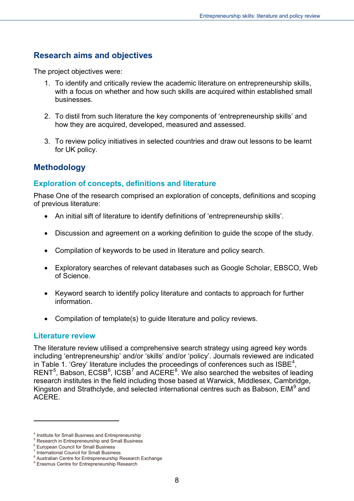## <span id="page-7-0"></span>**Research aims and objectives**

The project objectives were:

- 1. To identify and critically review the academic literature on entrepreneurship skills, with a focus on whether and how such skills are acquired within established small businesses.
- 2. To distil from such literature the key components of 'entrepreneurship skills' and how they are acquired, developed, measured and assessed.
- 3. To review policy initiatives in selected countries and draw out lessons to be learnt for UK policy.

## <span id="page-7-1"></span>**Methodology**

## <span id="page-7-2"></span>**Exploration of concepts, definitions and literature**

Phase One of the research comprised an exploration of concepts, definitions and scoping of previous literature:

- An initial sift of literature to identify definitions of 'entrepreneurship skills'.
- Discussion and agreement on a working definition to guide the scope of the study.
- Compilation of keywords to be used in literature and policy search.
- Exploratory searches of relevant databases such as Google Scholar, EBSCO, Web of Science.
- Keyword search to identify policy literature and contacts to approach for further information.
- Compilation of template(s) to guide literature and policy reviews.

#### <span id="page-7-3"></span>**Literature review**

-

The literature review utilised a comprehensive search strategy using agreed key words including 'entrepreneurship' and/or 'skills' and/or 'policy'. Journals reviewed are indicated in Table 1. 'Grey' literature includes the proceedings of conferences such as  $ISBE<sup>4</sup>$  $ISBE<sup>4</sup>$  $ISBE<sup>4</sup>$ , RENT<sup>[5](#page-7-5)</sup>, Babson, ECSB<sup>[6](#page-7-6)</sup>, ICSB<sup>[7](#page-7-7)</sup> and ACERE<sup>[8](#page-7-8)</sup>. We also searched the websites of leading research institutes in the field including those based at Warwick, Middlesex, Cambridge, Kingston and Strathclyde, and selected international centres such as Babson, EIM<sup>[9](#page-7-9)</sup> and ACERE.

<span id="page-7-4"></span><sup>4</sup> Institute for Small Business and Entrepreneurship

**S Research in Entrepreneurship and Small Business** 

<span id="page-7-6"></span><span id="page-7-5"></span><sup>&</sup>lt;sup>6</sup> European Council for Small Business

<span id="page-7-7"></span><sup>7</sup> International Council for Small Business

<span id="page-7-8"></span><sup>&</sup>lt;sup>8</sup> Australian Centre for Entrepreneurship Research Exchange

<span id="page-7-9"></span><sup>&</sup>lt;sup>9</sup> Erasmus Centre for Entrepreneurship Research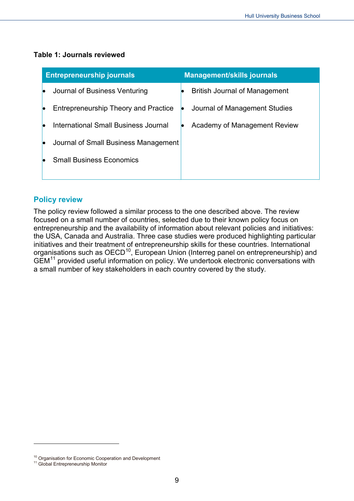#### **Table 1: Journals reviewed**

| <b>Entrepreneurship journals</b>            | <b>Management/skills journals</b>    |
|---------------------------------------------|--------------------------------------|
| Journal of Business Venturing               | <b>British Journal of Management</b> |
| <b>Entrepreneurship Theory and Practice</b> | Journal of Management Studies        |
| <b>International Small Business Journal</b> | Academy of Management Review         |
| Journal of Small Business Management        |                                      |
| <b>Small Business Economics</b>             |                                      |
|                                             |                                      |

#### <span id="page-8-0"></span>**Policy review**

The policy review followed a similar process to the one described above. The review focused on a small number of countries, selected due to their known policy focus on entrepreneurship and the availability of information about relevant policies and initiatives: the USA, Canada and Australia. Three case studies were produced highlighting particular initiatives and their treatment of entrepreneurship skills for these countries. International organisations such as OECD<sup>[10](#page-8-1)</sup>, European Union (Interreg panel on entrepreneurship) and GEM<sup>[11](#page-8-2)</sup> provided useful information on policy. We undertook electronic conversations with a small number of key stakeholders in each country covered by the study.

-

<span id="page-8-1"></span> $10$  Organisation for Economic Cooperation and Development  $11$  Global Entrepreneurship Monitor

<span id="page-8-2"></span>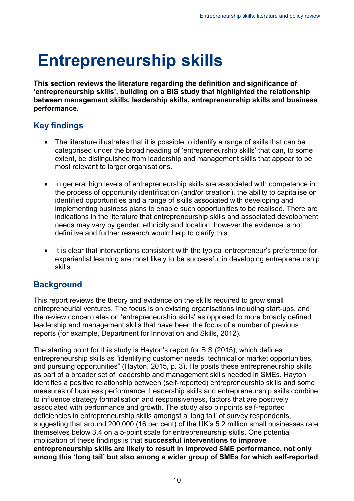## <span id="page-9-0"></span>**Entrepreneurship skills**

**This section reviews the literature regarding the definition and significance of 'entrepreneurship skills', building on a BIS study that highlighted the relationship between management skills, leadership skills, entrepreneurship skills and business performance.**

## <span id="page-9-1"></span>**Key findings**

- The literature illustrates that it is possible to identify a range of skills that can be categorised under the broad heading of 'entrepreneurship skills' that can, to some extent, be distinguished from leadership and management skills that appear to be most relevant to larger organisations.
- In general high levels of entrepreneurship skills are associated with competence in the process of opportunity identification (and/or creation), the ability to capitalise on identified opportunities and a range of skills associated with developing and implementing business plans to enable such opportunities to be realised. There are indications in the literature that entrepreneurship skills and associated development needs may vary by gender, ethnicity and location; however the evidence is not definitive and further research would help to clarify this.
- It is clear that interventions consistent with the typical entrepreneur's preference for experiential learning are most likely to be successful in developing entrepreneurship skills.

## <span id="page-9-2"></span>**Background**

This report reviews the theory and evidence on the skills required to grow small entrepreneurial ventures. The focus is on existing organisations including start-ups, and the review concentrates on 'entrepreneurship skills' as opposed to more broadly defined leadership and management skills that have been the focus of a number of previous reports (for example, Department for Innovation and Skills, 2012).

The starting point for this study is Hayton's report for BIS (2015), which defines entrepreneurship skills as "identifying customer needs, technical or market opportunities, and pursuing opportunities" (Hayton, 2015, p. 3). He posits these entrepreneurship skills as part of a broader set of leadership and management skills needed in SMEs. Hayton identifies a positive relationship between (self-reported) entrepreneurship skills and some measures of business performance. Leadership skills and entrepreneurship skills combine to influence strategy formalisation and responsiveness, factors that are positively associated with performance and growth. The study also pinpoints self-reported deficiencies in entrepreneurship skills amongst a 'long tail' of survey respondents, suggesting that around 200,000 (16 per cent) of the UK's 5.2 million small businesses rate themselves below 3.4 on a 5-point scale for entrepreneurship skills. One potential implication of these findings is that **successful interventions to improve entrepreneurship skills are likely to result in improved SME performance, not only among this 'long tail' but also among a wider group of SMEs for which self-reported**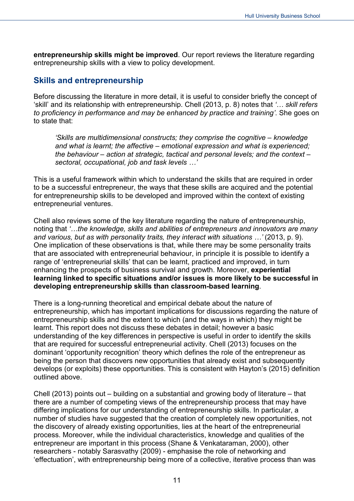**entrepreneurship skills might be improved**. Our report reviews the literature regarding entrepreneurship skills with a view to policy development.

## <span id="page-10-0"></span>**Skills and entrepreneurship**

Before discussing the literature in more detail, it is useful to consider briefly the concept of 'skill' and its relationship with entrepreneurship. Chell (2013, p. 8) notes that *'… skill refers to proficiency in performance and may be enhanced by practice and training'*. She goes on to state that:

*'Skills are multidimensional constructs; they comprise the cognitive – knowledge and what is learnt; the affective – emotional expression and what is experienced; the behaviour – action at strategic, tactical and personal levels; and the context – sectoral, occupational, job and task levels …'*

This is a useful framework within which to understand the skills that are required in order to be a successful entrepreneur, the ways that these skills are acquired and the potential for entrepreneurship skills to be developed and improved within the context of existing entrepreneurial ventures.

Chell also reviews some of the key literature regarding the nature of entrepreneurship, noting that *'…the knowledge, skills and abilities of entrepreneurs and innovators are many and various, but as with personality traits, they interact with situations …'* (2013, p. 9). One implication of these observations is that, while there may be some personality traits that are associated with entrepreneurial behaviour, in principle it is possible to identify a range of 'entrepreneurial skills' that can be learnt, practiced and improved, in turn enhancing the prospects of business survival and growth. Moreover, **experiential learning linked to specific situations and/or issues is more likely to be successful in developing entrepreneurship skills than classroom-based learning**.

There is a long-running theoretical and empirical debate about the nature of entrepreneurship, which has important implications for discussions regarding the nature of entrepreneurship skills and the extent to which (and the ways in which) they might be learnt. This report does not discuss these debates in detail; however a basic understanding of the key differences in perspective is useful in order to identify the skills that are required for successful entrepreneurial activity. Chell (2013) focuses on the dominant 'opportunity recognition' theory which defines the role of the entrepreneur as being the person that discovers new opportunities that already exist and subsequently develops (or exploits) these opportunities. This is consistent with Hayton's (2015) definition outlined above.

Chell (2013) points out – building on a substantial and growing body of literature – that there are a number of competing views of the entrepreneurship process that may have differing implications for our understanding of entrepreneurship skills. In particular, a number of studies have suggested that the creation of completely new opportunities, not the discovery of already existing opportunities, lies at the heart of the entrepreneurial process. Moreover, while the individual characteristics, knowledge and qualities of the entrepreneur are important in this process (Shane & Venkataraman, 2000), other researchers - notably Sarasvathy (2009) - emphasise the role of networking and 'effectuation', with entrepreneurship being more of a collective, iterative process than was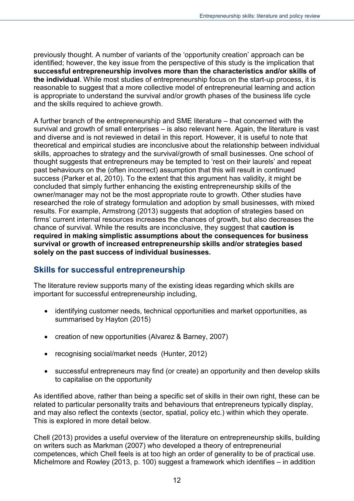previously thought. A number of variants of the 'opportunity creation' approach can be identified; however, the key issue from the perspective of this study is the implication that **successful entrepreneurship involves more than the characteristics and/or skills of the individual**. While most studies of entrepreneurship focus on the start-up process, it is reasonable to suggest that a more collective model of entrepreneurial learning and action is appropriate to understand the survival and/or growth phases of the business life cycle and the skills required to achieve growth.

A further branch of the entrepreneurship and SME literature – that concerned with the survival and growth of small enterprises – is also relevant here. Again, the literature is vast and diverse and is not reviewed in detail in this report. However, it is useful to note that theoretical and empirical studies are inconclusive about the relationship between individual skills, approaches to strategy and the survival/growth of small businesses. One school of thought suggests that entrepreneurs may be tempted to 'rest on their laurels' and repeat past behaviours on the (often incorrect) assumption that this will result in continued success (Parker et al, 2010). To the extent that this argument has validity, it might be concluded that simply further enhancing the existing entrepreneurship skills of the owner/manager may not be the most appropriate route to growth. Other studies have researched the role of strategy formulation and adoption by small businesses, with mixed results. For example, Armstrong (2013) suggests that adoption of strategies based on firms' current internal resources increases the chances of growth, but also decreases the chance of survival. While the results are inconclusive, they suggest that **caution is required in making simplistic assumptions about the consequences for business survival or growth of increased entrepreneurship skills and/or strategies based solely on the past success of individual businesses.**

## <span id="page-11-0"></span>**Skills for successful entrepreneurship**

The literature review supports many of the existing ideas regarding which skills are important for successful entrepreneurship including,

- identifying customer needs, technical opportunities and market opportunities, as summarised by Hayton (2015)
- creation of new opportunities (Alvarez & Barney, 2007)
- recognising social/market needs (Hunter, 2012)
- successful entrepreneurs may find (or create) an opportunity and then develop skills to capitalise on the opportunity

As identified above, rather than being a specific set of skills in their own right, these can be related to particular personality traits and behaviours that entrepreneurs typically display, and may also reflect the contexts (sector, spatial, policy etc.) within which they operate. This is explored in more detail below.

Chell (2013) provides a useful overview of the literature on entrepreneurship skills, building on writers such as Markman (2007) who developed a theory of entrepreneurial competences, which Chell feels is at too high an order of generality to be of practical use. Michelmore and Rowley (2013, p. 100) suggest a framework which identifies – in addition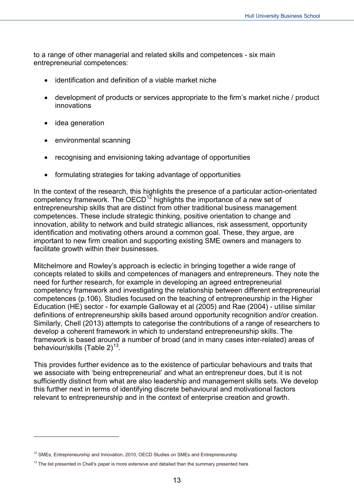to a range of other managerial and related skills and competences - six main entrepreneurial competences:

- identification and definition of a viable market niche
- development of products or services appropriate to the firm's market niche / product innovations
- idea generation

-

- environmental scanning
- recognising and envisioning taking advantage of opportunities
- formulating strategies for taking advantage of opportunities

In the context of the research, this highlights the presence of a particular action-orientated competency framework. The  $OECD<sup>12</sup>$  $OECD<sup>12</sup>$  $OECD<sup>12</sup>$  highlights the importance of a new set of entrepreneurship skills that are distinct from other traditional business management competences. These include strategic thinking, positive orientation to change and innovation, ability to network and build strategic alliances, risk assessment, opportunity identification and motivating others around a common goal. These, they argue, are important to new firm creation and supporting existing SME owners and managers to facilitate growth within their businesses.

Mitchelmore and Rowley's approach is eclectic in bringing together a wide range of concepts related to skills and competences of managers and entrepreneurs. They note the need for further research, for example in developing an agreed entrepreneurial competency framework and investigating the relationship between different entrepreneurial competences (p.106). Studies focused on the teaching of entrepreneurship in the Higher Education (HE) sector - for example Galloway et al (2005) and Rae (2004) - utilise similar definitions of entrepreneurship skills based around opportunity recognition and/or creation. Similarly, Chell (2013) attempts to categorise the contributions of a range of researchers to develop a coherent framework in which to understand entrepreneurship skills. The framework is based around a number of broad (and in many cases inter-related) areas of behaviour/skills (Table 2)<sup>[13](#page-12-1)</sup>.

This provides further evidence as to the existence of particular behaviours and traits that we associate with 'being entrepreneurial' and what an entrepreneur does, but it is not sufficiently distinct from what are also leadership and management skills sets. We develop this further next in terms of identifying discrete behavioural and motivational factors relevant to entrepreneurship and in the context of enterprise creation and growth.

<span id="page-12-0"></span> $12$  SMEs, Entrepreneurship and Innovation, 2010, OECD Studies on SMEs and Entrepreneurship

<span id="page-12-1"></span> $13$  The list presented in Chell's paper is more extensive and detailed than the summary presented here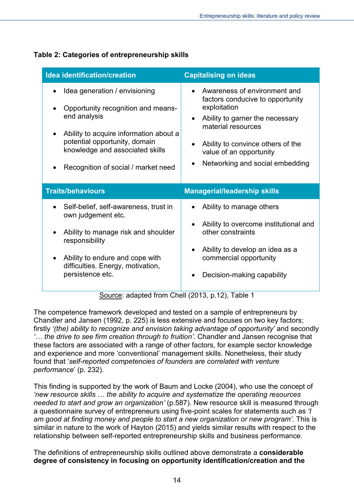| <b>Idea identification/creation</b>                                                                                                                                                                                                      | <b>Capitalising on ideas</b>                                                                                                                                                                                                                              |
|------------------------------------------------------------------------------------------------------------------------------------------------------------------------------------------------------------------------------------------|-----------------------------------------------------------------------------------------------------------------------------------------------------------------------------------------------------------------------------------------------------------|
| Idea generation / envisioning<br>Opportunity recognition and means-<br>end analysis<br>Ability to acquire information about a<br>potential opportunity, domain<br>knowledge and associated skills<br>Recognition of social / market need | Awareness of environment and<br>factors conducive to opportunity<br>exploitation<br>Ability to garner the necessary<br>material resources<br>Ability to convince others of the<br>value of an opportunity<br>Networking and social embedding<br>$\bullet$ |
| <b>Traits/behaviours</b>                                                                                                                                                                                                                 | <b>Managerial/leadership skills</b>                                                                                                                                                                                                                       |
| Self-belief, self-awareness, trust in<br>own judgement etc.<br>Ability to manage risk and shoulder<br>responsibility<br>Ability to endure and cope with<br>difficulties. Energy, motivation,<br>persistence etc.                         | Ability to manage others<br>Ability to overcome institutional and<br>other constraints<br>Ability to develop an idea as a<br>commercial opportunity<br>Decision-making capability                                                                         |

### **Table 2: Categories of entrepreneurship skills**

Source: adapted from Chell (2013, p.12), Table 1

The competence framework developed and tested on a sample of entrepreneurs by Chandler and Jansen (1992, p. 225) is less extensive and focuses on two key factors; firstly *'(the) ability to recognize and envision taking advantage of opportunity'* and secondly *'… the drive to see firm creation through to fruition'*. Chandler and Jansen recognise that these factors are associated with a range of other factors, for example sector knowledge and experience and more 'conventional' management skills. Nonetheless, their study found that '*self-reported competencies of founders are correlated with venture performance*' (p. 232).

This finding is supported by the work of Baum and Locke (2004), who use the concept of *'new resource skills … the ability to acquire and systematize the operating resources needed to start and grow an organization'* (p.587). New resource skill is measured through a questionnaire survey of entrepreneurs using five-point scales for statements such as *'I am good at finding money and people to start a new organization or new program'*. This is similar in nature to the work of Hayton (2015) and yields similar results with respect to the relationship between self-reported entrepreneurship skills and business performance.

The definitions of entrepreneurship skills outlined above demonstrate a **considerable degree of consistency in focusing on opportunity identification/creation and the**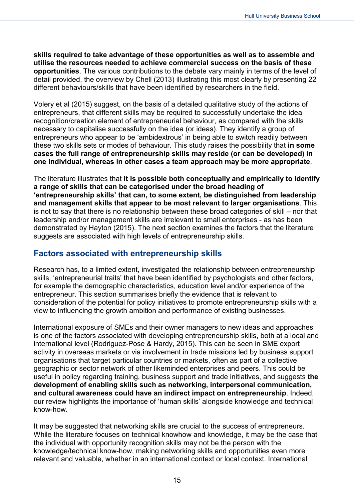**skills required to take advantage of these opportunities as well as to assemble and utilise the resources needed to achieve commercial success on the basis of these opportunities**. The various contributions to the debate vary mainly in terms of the level of detail provided, the overview by Chell (2013) illustrating this most clearly by presenting 22 different behaviours/skills that have been identified by researchers in the field.

Volery et al (2015) suggest, on the basis of a detailed qualitative study of the actions of entrepreneurs, that different skills may be required to successfully undertake the idea recognition/creation element of entrepreneurial behaviour, as compared with the skills necessary to capitalise successfully on the idea (or ideas). They identify a group of entrepreneurs who appear to be 'ambidextrous' in being able to switch readily between these two skills sets or modes of behaviour. This study raises the possibility that **in some cases the full range of entrepreneurship skills may reside (or can be developed) in one individual, whereas in other cases a team approach may be more appropriate**.

The literature illustrates that **it is possible both conceptually and empirically to identify a range of skills that can be categorised under the broad heading of 'entrepreneurship skills' that can, to some extent, be distinguished from leadership and management skills that appear to be most relevant to larger organisations**. This is not to say that there is no relationship between these broad categories of skill – nor that leadership and/or management skills are irrelevant to small enterprises - as has been demonstrated by Hayton (2015). The next section examines the factors that the literature suggests are associated with high levels of entrepreneurship skills.

## <span id="page-14-0"></span>**Factors associated with entrepreneurship skills**

Research has, to a limited extent, investigated the relationship between entrepreneurship skills, 'entrepreneurial traits' that have been identified by psychologists and other factors, for example the demographic characteristics, education level and/or experience of the entrepreneur. This section summarises briefly the evidence that is relevant to consideration of the potential for policy initiatives to promote entrepreneurship skills with a view to influencing the growth ambition and performance of existing businesses.

International exposure of SMEs and their owner managers to new ideas and approaches is one of the factors associated with developing entrepreneurship skills, both at a local and international level (Rodriguez-Pose & Hardy, 2015). This can be seen in SME export activity in overseas markets or via involvement in trade missions led by business support organisations that target particular countries or markets, often as part of a collective geographic or sector network of other likeminded enterprises and peers. This could be useful in policy regarding training, business support and trade initiatives, and suggests **the development of enabling skills such as networking, interpersonal communication, and cultural awareness could have an indirect impact on entrepreneurship**. Indeed, our review highlights the importance of 'human skills' alongside knowledge and technical know-how.

It may be suggested that networking skills are crucial to the success of entrepreneurs. While the literature focuses on technical knowhow and knowledge, it may be the case that the individual with opportunity recognition skills may not be the person with the knowledge/technical know-how, making networking skills and opportunities even more relevant and valuable, whether in an international context or local context. International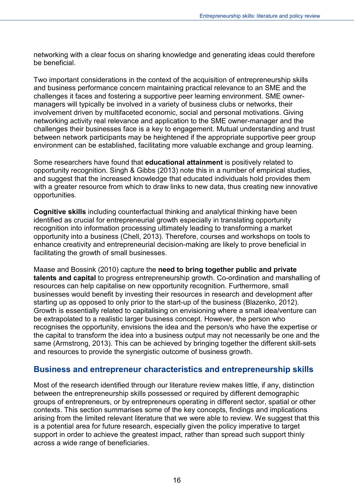networking with a clear focus on sharing knowledge and generating ideas could therefore be beneficial.

Two important considerations in the context of the acquisition of entrepreneurship skills and business performance concern maintaining practical relevance to an SME and the challenges it faces and fostering a supportive peer learning environment. SME ownermanagers will typically be involved in a variety of business clubs or networks, their involvement driven by multifaceted economic, social and personal motivations. Giving networking activity real relevance and application to the SME owner-manager and the challenges their businesses face is a key to engagement. Mutual understanding and trust between network participants may be heightened if the appropriate supportive peer group environment can be established, facilitating more valuable exchange and group learning.

Some researchers have found that **educational attainment** is positively related to opportunity recognition. Singh & Gibbs (2013) note this in a number of empirical studies, and suggest that the increased knowledge that educated individuals hold provides them with a greater resource from which to draw links to new data, thus creating new innovative opportunities.

**Cognitive skills** including counterfactual thinking and analytical thinking have been identified as crucial for entrepreneurial growth especially in translating opportunity recognition into information processing ultimately leading to transforming a market opportunity into a business (Chell, 2013). Therefore, courses and workshops on tools to enhance creativity and entrepreneurial decision-making are likely to prove beneficial in facilitating the growth of small businesses.

Maase and Bossink (2010) capture the **need to bring together public and private talents and capital** to progress entrepreneurship growth. Co-ordination and marshalling of resources can help capitalise on new opportunity recognition. Furthermore, small businesses would benefit by investing their resources in research and development after starting up as opposed to only prior to the start-up of the business (Blazenko, 2012). Growth is essentially related to capitalising on envisioning where a small idea/venture can be extrapolated to a realistic larger business concept. However, the person who recognises the opportunity, envisions the idea and the person/s who have the expertise or the capital to transform the idea into a business output may not necessarily be one and the same (Armstrong, 2013). This can be achieved by bringing together the different skill-sets and resources to provide the synergistic outcome of business growth.

## <span id="page-15-0"></span>**Business and entrepreneur characteristics and entrepreneurship skills**

Most of the research identified through our literature review makes little, if any, distinction between the entrepreneurship skills possessed or required by different demographic groups of entrepreneurs, or by entrepreneurs operating in different sector, spatial or other contexts. This section summarises some of the key concepts, findings and implications arising from the limited relevant literature that we were able to review. We suggest that this is a potential area for future research, especially given the policy imperative to target support in order to achieve the greatest impact, rather than spread such support thinly across a wide range of beneficiaries.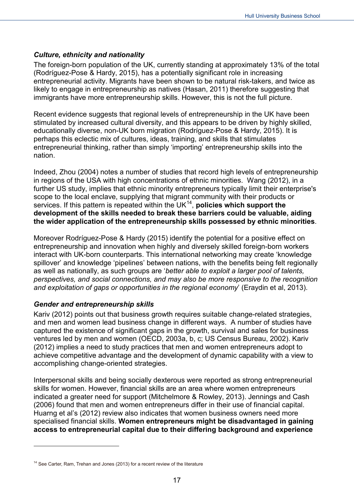#### *Culture, ethnicity and nationality*

The foreign-born population of the UK, currently standing at approximately 13% of the total (Rodríguez-Pose & Hardy, 2015), has a potentially significant role in increasing entrepreneurial activity. Migrants have been shown to be natural risk-takers, and twice as likely to engage in entrepreneurship as natives (Hasan, 2011) therefore suggesting that immigrants have more entrepreneurship skills. However, this is not the full picture.

Recent evidence suggests that regional levels of entrepreneurship in the UK have been stimulated by increased cultural diversity, and this appears to be driven by highly skilled, educationally diverse, non-UK born migration (Rodríguez-Pose & Hardy, 2015). It is perhaps this eclectic mix of cultures, ideas, training, and skills that stimulates entrepreneurial thinking, rather than simply 'importing' entrepreneurship skills into the nation.

Indeed, Zhou (2004) notes a number of studies that record high levels of entrepreneurship in regions of the USA with high concentrations of ethnic minorities. Wang (2012), in a further US study, implies that ethnic minority entrepreneurs typically limit their enterprise's scope to the local enclave, supplying that migrant community with their products or services. If this pattern is repeated within the UK<sup>14</sup>, **policies which support the development of the skills needed to break these barriers could be valuable, aiding the wider application of the entrepreneurship skills possessed by ethnic minorities**.

Moreover Rodríguez-Pose & Hardy (2015) identify the potential for a positive effect on entrepreneurship and innovation when highly and diversely skilled foreign-born workers interact with UK-born counterparts. This international networking may create 'knowledge spillover' and knowledge 'pipelines' between nations, with the benefits being felt regionally as well as nationally, as such groups are '*better able to exploit a larger pool of talents, perspectives, and social connections, and may also be more responsive to the recognition and exploitation of gaps or opportunities in the regional economy*' (Eraydin et al, 2013).

#### *Gender and entrepreneurship skills*

-

Kariv (2012) points out that business growth requires suitable change-related strategies, and men and women lead business change in different ways. A number of studies have captured the existence of significant gaps in the growth, survival and sales for business ventures led by men and women (OECD, 2003a, b, c; US Census Bureau, 2002). Kariv (2012) implies a need to study practices that men and women entrepreneurs adopt to achieve competitive advantage and the development of dynamic capability with a view to accomplishing change-oriented strategies.

Interpersonal skills and being socially dexterous were reported as strong entrepreneurial skills for women. However, financial skills are an area where women entrepreneurs indicated a greater need for support (Mitchelmore & Rowley, 2013). Jennings and Cash (2006) found that men and women entrepreneurs differ in their use of financial capital. Huarng et al's (2012) review also indicates that women business owners need more specialised financial skills. **Women entrepreneurs might be disadvantaged in gaining access to entrepreneurial capital due to their differing background and experience** 

<span id="page-16-0"></span> $14$  See Carter, Ram, Trehan and Jones (2013) for a recent review of the literature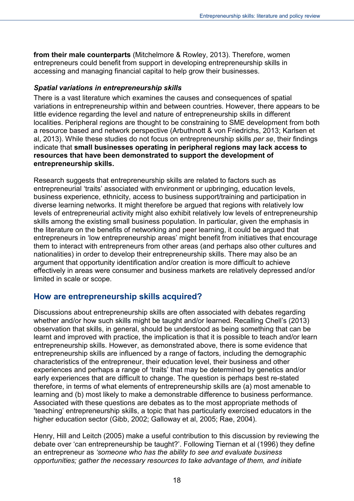**from their male counterparts** (Mitchelmore & Rowley, 2013). Therefore, women entrepreneurs could benefit from support in developing entrepreneurship skills in accessing and managing financial capital to help grow their businesses.

#### *Spatial variations in entrepreneurship skills*

There is a vast literature which examines the causes and consequences of spatial variations in entrepreneurship within and between countries. However, there appears to be little evidence regarding the level and nature of entrepreneurship skills in different localities. Peripheral regions are thought to be constraining to SME development from both a resource based and network perspective (Arbuthnott & von Friedrichs, 2013; Karlsen et al, 2013). While these studies do not focus on entrepreneurship skills *per se*, their findings indicate that **small businesses operating in peripheral regions may lack access to resources that have been demonstrated to support the development of entrepreneurship skills.**

Research suggests that entrepreneurship skills are related to factors such as entrepreneurial 'traits' associated with environment or upbringing, education levels, business experience, ethnicity, access to business support/training and participation in diverse learning networks. It might therefore be argued that regions with relatively low levels of entrepreneurial activity might also exhibit relatively low levels of entrepreneurship skills among the existing small business population. In particular, given the emphasis in the literature on the benefits of networking and peer learning, it could be argued that entrepreneurs in 'low entrepreneurship areas' might benefit from initiatives that encourage them to interact with entrepreneurs from other areas (and perhaps also other cultures and nationalities) in order to develop their entrepreneurship skills. There may also be an argument that opportunity identification and/or creation is more difficult to achieve effectively in areas were consumer and business markets are relatively depressed and/or limited in scale or scope.

## <span id="page-17-0"></span>**How are entrepreneurship skills acquired?**

Discussions about entrepreneurship skills are often associated with debates regarding whether and/or how such skills might be taught and/or learned. Recalling Chell's (2013) observation that skills, in general, should be understood as being something that can be learnt and improved with practice, the implication is that it is possible to teach and/or learn entrepreneurship skills. However, as demonstrated above, there is some evidence that entrepreneurship skills are influenced by a range of factors, including the demographic characteristics of the entrepreneur, their education level, their business and other experiences and perhaps a range of 'traits' that may be determined by genetics and/or early experiences that are difficult to change. The question is perhaps best re-stated therefore, in terms of what elements of entrepreneurship skills are (a) most amenable to learning and (b) most likely to make a demonstrable difference to business performance. Associated with these questions are debates as to the most appropriate methods of 'teaching' entrepreneurship skills, a topic that has particularly exercised educators in the higher education sector (Gibb, 2002; Galloway et al, 2005; Rae, 2004).

Henry, Hill and Leitch (2005) make a useful contribution to this discussion by reviewing the debate over 'can entrepreneurship be taught?'. Following Tiernan et al (1996) they define an entrepreneur as *'someone who has the ability to see and evaluate business opportunities; gather the necessary resources to take advantage of them, and initiate*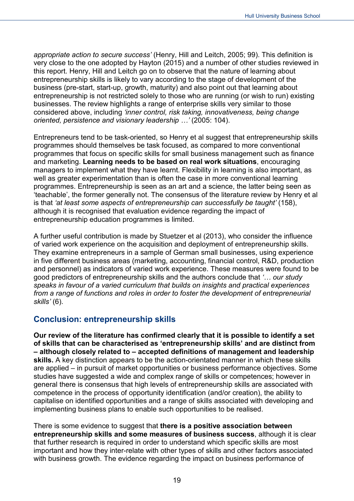*appropriate action to secure success'* (Henry, Hill and Leitch, 2005; 99). This definition is very close to the one adopted by Hayton (2015) and a number of other studies reviewed in this report. Henry, Hill and Leitch go on to observe that the nature of learning about entrepreneurship skills is likely to vary according to the stage of development of the business (pre-start, start-up, growth, maturity) and also point out that learning about entrepreneurship is not restricted solely to those who are running (or wish to run) existing businesses. The review highlights a range of enterprise skills very similar to those considered above, including *'inner control, risk taking, innovativeness, being change oriented, persistence and visionary leadership …'* (2005: 104).

Entrepreneurs tend to be task-oriented, so Henry et al suggest that entrepreneurship skills programmes should themselves be task focused, as compared to more conventional programmes that focus on specific skills for small business management such as finance and marketing. **Learning needs to be based on real work situations**, encouraging managers to implement what they have learnt. Flexibility in learning is also important, as well as greater experimentation than is often the case in more conventional learning programmes. Entrepreneurship is seen as an art and a science, the latter being seen as 'teachable', the former generally not. The consensus of the literature review by Henry et al is that *'at least some aspects of entrepreneurship can successfully be taught'* (158), although it is recognised that evaluation evidence regarding the impact of entrepreneurship education programmes is limited.

A further useful contribution is made by Stuetzer et al (2013), who consider the influence of varied work experience on the acquisition and deployment of entrepreneurship skills. They examine entrepreneurs in a sample of German small businesses, using experience in five different business areas (marketing, accounting, financial control, R&D, production and personnel) as indicators of varied work experience. These measures were found to be good predictors of entrepreneurship skills and the authors conclude that *'… our study speaks in favour of a varied curriculum that builds on insights and practical experiences from a range of functions and roles in order to foster the development of entrepreneurial skills'* (6).

## <span id="page-18-0"></span>**Conclusion: entrepreneurship skills**

**Our review of the literature has confirmed clearly that it is possible to identify a set of skills that can be characterised as 'entrepreneurship skills' and are distinct from – although closely related to – accepted definitions of management and leadership skills.** A key distinction appears to be the action-orientated manner in which these skills are applied – in pursuit of market opportunities or business performance objectives. Some studies have suggested a wide and complex range of skills or competences; however in general there is consensus that high levels of entrepreneurship skills are associated with competence in the process of opportunity identification (and/or creation), the ability to capitalise on identified opportunities and a range of skills associated with developing and implementing business plans to enable such opportunities to be realised.

There is some evidence to suggest that **there is a positive association between entrepreneurship skills and some measures of business success**, although it is clear that further research is required in order to understand which specific skills are most important and how they inter-relate with other types of skills and other factors associated with business growth. The evidence regarding the impact on business performance of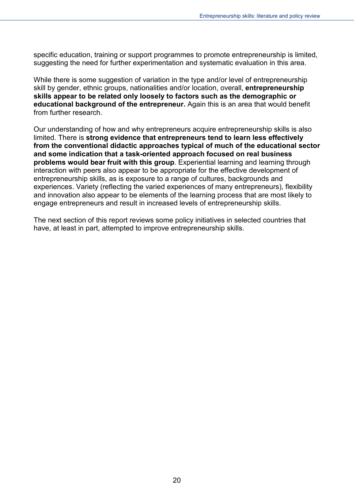specific education, training or support programmes to promote entrepreneurship is limited, suggesting the need for further experimentation and systematic evaluation in this area.

While there is some suggestion of variation in the type and/or level of entrepreneurship skill by gender, ethnic groups, nationalities and/or location, overall, **entrepreneurship skills appear to be related only loosely to factors such as the demographic or educational background of the entrepreneur.** Again this is an area that would benefit from further research.

Our understanding of how and why entrepreneurs acquire entrepreneurship skills is also limited. There is **strong evidence that entrepreneurs tend to learn less effectively from the conventional didactic approaches typical of much of the educational sector and some indication that a task-oriented approach focused on real business problems would bear fruit with this group**. Experiential learning and learning through interaction with peers also appear to be appropriate for the effective development of entrepreneurship skills, as is exposure to a range of cultures, backgrounds and experiences. Variety (reflecting the varied experiences of many entrepreneurs), flexibility and innovation also appear to be elements of the learning process that are most likely to engage entrepreneurs and result in increased levels of entrepreneurship skills.

The next section of this report reviews some policy initiatives in selected countries that have, at least in part, attempted to improve entrepreneurship skills.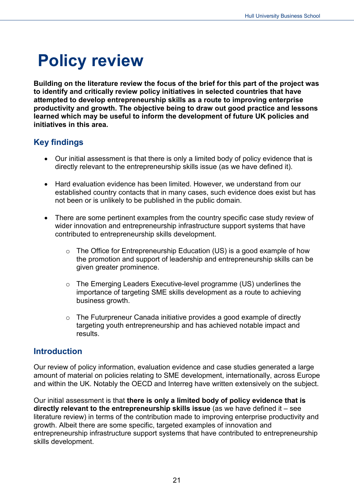## <span id="page-20-0"></span>**Policy review**

**Building on the literature review the focus of the brief for this part of the project was to identify and critically review policy initiatives in selected countries that have attempted to develop entrepreneurship skills as a route to improving enterprise productivity and growth. The objective being to draw out good practice and lessons learned which may be useful to inform the development of future UK policies and initiatives in this area.**

## <span id="page-20-1"></span>**Key findings**

- Our initial assessment is that there is only a limited body of policy evidence that is directly relevant to the entrepreneurship skills issue (as we have defined it).
- Hard evaluation evidence has been limited. However, we understand from our established country contacts that in many cases, such evidence does exist but has not been or is unlikely to be published in the public domain.
- There are some pertinent examples from the country specific case study review of wider innovation and entrepreneurship infrastructure support systems that have contributed to entrepreneurship skills development.
	- o The Office for Entrepreneurship Education (US) is a good example of how the promotion and support of leadership and entrepreneurship skills can be given greater prominence.
	- o The Emerging Leaders Executive-level programme (US) underlines the importance of targeting SME skills development as a route to achieving business growth.
	- o The Futurpreneur Canada initiative provides a good example of directly targeting youth entrepreneurship and has achieved notable impact and results.

## <span id="page-20-2"></span>**Introduction**

Our review of policy information, evaluation evidence and case studies generated a large amount of material on policies relating to SME development, internationally, across Europe and within the UK. Notably the OECD and Interreg have written extensively on the subject.

Our initial assessment is that **there is only a limited body of policy evidence that is directly relevant to the entrepreneurship skills issue** (as we have defined it – see literature review) in terms of the contribution made to improving enterprise productivity and growth. Albeit there are some specific, targeted examples of innovation and entrepreneurship infrastructure support systems that have contributed to entrepreneurship skills development.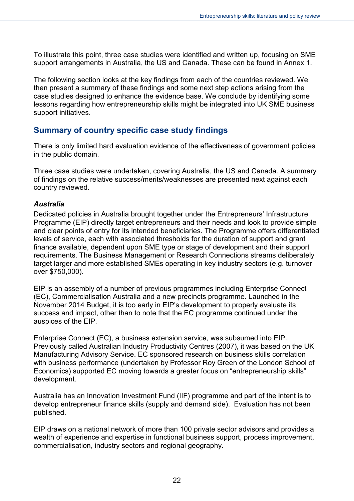To illustrate this point, three case studies were identified and written up, focusing on SME support arrangements in Australia, the US and Canada. These can be found in Annex 1.

The following section looks at the key findings from each of the countries reviewed. We then present a summary of these findings and some next step actions arising from the case studies designed to enhance the evidence base. We conclude by identifying some lessons regarding how entrepreneurship skills might be integrated into UK SME business support initiatives.

## <span id="page-21-0"></span>**Summary of country specific case study findings**

There is only limited hard evaluation evidence of the effectiveness of government policies in the public domain.

Three case studies were undertaken, covering Australia, the US and Canada. A summary of findings on the relative success/merits/weaknesses are presented next against each country reviewed.

#### *Australia*

Dedicated policies in Australia brought together under the Entrepreneurs' Infrastructure Programme (EIP) directly target entrepreneurs and their needs and look to provide simple and clear points of entry for its intended beneficiaries. The Programme offers differentiated levels of service, each with associated thresholds for the duration of support and grant finance available, dependent upon SME type or stage of development and their support requirements. The Business Management or Research Connections streams deliberately target larger and more established SMEs operating in key industry sectors (e.g. turnover over \$750,000).

EIP is an assembly of a number of previous programmes including Enterprise Connect (EC), Commercialisation Australia and a new precincts programme. Launched in the November 2014 Budget, it is too early in EIP's development to properly evaluate its success and impact, other than to note that the EC programme continued under the auspices of the EIP.

Enterprise Connect (EC), a business extension service, was subsumed into EIP. Previously called Australian Industry Productivity Centres (2007), it was based on the UK Manufacturing Advisory Service. EC sponsored research on business skills correlation with business performance (undertaken by Professor Roy Green of the London School of Economics) supported EC moving towards a greater focus on "entrepreneurship skills" development.

Australia has an Innovation Investment Fund (IIF) programme and part of the intent is to develop entrepreneur finance skills (supply and demand side). Evaluation has not been published.

EIP draws on a national network of more than 100 private sector advisors and provides a wealth of experience and expertise in functional business support, process improvement, commercialisation, industry sectors and regional geography.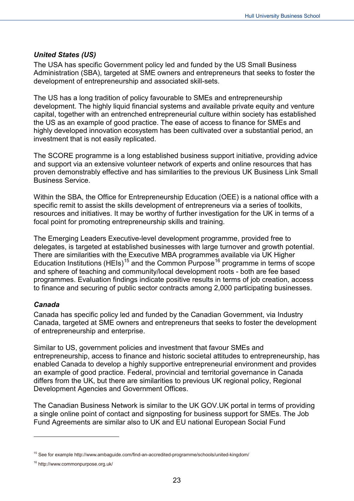#### *United States (US)*

The USA has specific Government policy led and funded by the US Small Business Administration (SBA), targeted at SME owners and entrepreneurs that seeks to foster the development of entrepreneurship and associated skill-sets.

The US has a long tradition of policy favourable to SMEs and entrepreneurship development. The highly liquid financial systems and available private equity and venture capital, together with an entrenched entrepreneurial culture within society has established the US as an example of good practice. The ease of access to finance for SMEs and highly developed innovation ecosystem has been cultivated over a substantial period, an investment that is not easily replicated.

The SCORE programme is a long established business support initiative, providing advice and support via an extensive volunteer network of experts and online resources that has proven demonstrably effective and has similarities to the previous UK Business Link Small Business Service.

Within the SBA, the Office for Entrepreneurship Education (OEE) is a national office with a specific remit to assist the skills development of entrepreneurs via a series of toolkits, resources and initiatives. It may be worthy of further investigation for the UK in terms of a focal point for promoting entrepreneurship skills and training.

The Emerging Leaders Executive-level development programme, provided free to delegates, is targeted at established businesses with large turnover and growth potential. There are similarities with the Executive MBA programmes available via UK Higher Education Institutions (HEIs)<sup>[15](#page-22-0)</sup> and the Common Purpose<sup>[16](#page-22-1)</sup> programme in terms of scope and sphere of teaching and community/local development roots - both are fee based programmes. Evaluation findings indicate positive results in terms of job creation, access to finance and securing of public sector contracts among 2,000 participating businesses.

#### *Canada*

Canada has specific policy led and funded by the Canadian Government, via Industry Canada, targeted at SME owners and entrepreneurs that seeks to foster the development of entrepreneurship and enterprise.

Similar to US, government policies and investment that favour SMEs and entrepreneurship, access to finance and historic societal attitudes to entrepreneurship, has enabled Canada to develop a highly supportive entrepreneurial environment and provides an example of good practice. Federal, provincial and territorial governance in Canada differs from the UK, but there are similarities to previous UK regional policy, Regional Development Agencies and Government Offices.

The Canadian Business Network is similar to the UK GOV.UK portal in terms of providing a single online point of contact and signposting for business support for SMEs. The Job Fund Agreements are similar also to UK and EU national European Social Fund

<span id="page-22-0"></span><sup>&</sup>lt;sup>15</sup> See for example http://www.ambaguide.com/find-an-accredited-programme/schools/united-kingdom/

<span id="page-22-1"></span><sup>&</sup>lt;sup>16</sup> http://www.commonpurpose.org.uk/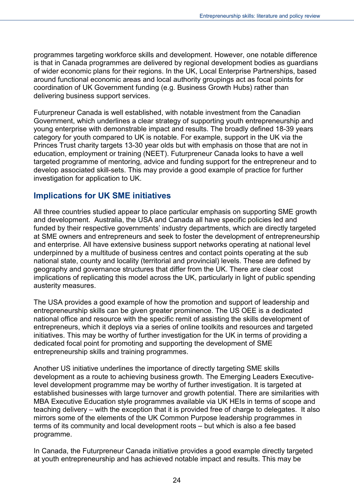programmes targeting workforce skills and development. However, one notable difference is that in Canada programmes are delivered by regional development bodies as guardians of wider economic plans for their regions. In the UK, Local Enterprise Partnerships, based around functional economic areas and local authority groupings act as focal points for coordination of UK Government funding (e.g. Business Growth Hubs) rather than delivering business support services.

Futurpreneur Canada is well established, with notable investment from the Canadian Government, which underlines a clear strategy of supporting youth entrepreneurship and young enterprise with demonstrable impact and results. The broadly defined 18-39 years category for youth compared to UK is notable. For example, support in the UK via the Princes Trust charity targets 13-30 year olds but with emphasis on those that are not in education, employment or training (NEET). Futurpreneur Canada looks to have a well targeted programme of mentoring, advice and funding support for the entrepreneur and to develop associated skill-sets. This may provide a good example of practice for further investigation for application to UK.

## <span id="page-23-0"></span>**Implications for UK SME initiatives**

All three countries studied appear to place particular emphasis on supporting SME growth and development. Australia, the USA and Canada all have specific policies led and funded by their respective governments' industry departments, which are directly targeted at SME owners and entrepreneurs and seek to foster the development of entrepreneurship and enterprise. All have extensive business support networks operating at national level underpinned by a multitude of business centres and contact points operating at the sub national state, county and locality (territorial and provincial) levels. These are defined by geography and governance structures that differ from the UK. There are clear cost implications of replicating this model across the UK, particularly in light of public spending austerity measures.

The USA provides a good example of how the promotion and support of leadership and entrepreneurship skills can be given greater prominence. The US OEE is a dedicated national office and resource with the specific remit of assisting the skills development of entrepreneurs, which it deploys via a series of online toolkits and resources and targeted initiatives. This may be worthy of further investigation for the UK in terms of providing a dedicated focal point for promoting and supporting the development of SME entrepreneurship skills and training programmes.

Another US initiative underlines the importance of directly targeting SME skills development as a route to achieving business growth. The Emerging Leaders Executivelevel development programme may be worthy of further investigation. It is targeted at established businesses with large turnover and growth potential. There are similarities with MBA Executive Education style programmes available via UK HEIs in terms of scope and teaching delivery – with the exception that it is provided free of charge to delegates. It also mirrors some of the elements of the UK Common Purpose leadership programmes in terms of its community and local development roots – but which is also a fee based programme.

In Canada, the Futurpreneur Canada initiative provides a good example directly targeted at youth entrepreneurship and has achieved notable impact and results. This may be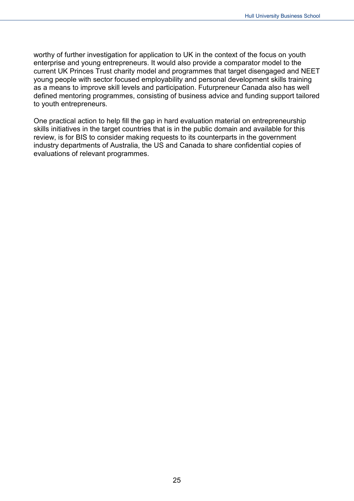worthy of further investigation for application to UK in the context of the focus on youth enterprise and young entrepreneurs. It would also provide a comparator model to the current UK Princes Trust charity model and programmes that target disengaged and NEET young people with sector focused employability and personal development skills training as a means to improve skill levels and participation. Futurpreneur Canada also has well defined mentoring programmes, consisting of business advice and funding support tailored to youth entrepreneurs.

One practical action to help fill the gap in hard evaluation material on entrepreneurship skills initiatives in the target countries that is in the public domain and available for this review, is for BIS to consider making requests to its counterparts in the government industry departments of Australia, the US and Canada to share confidential copies of evaluations of relevant programmes.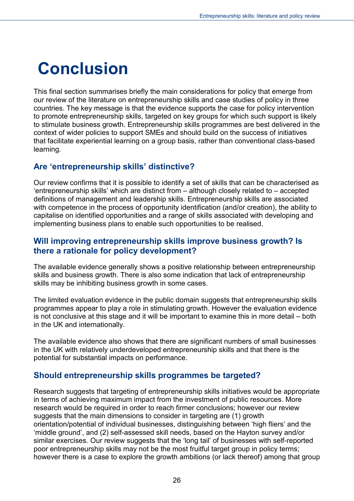## <span id="page-25-0"></span>**Conclusion**

This final section summarises briefly the main considerations for policy that emerge from our review of the literature on entrepreneurship skills and case studies of policy in three countries. The key message is that the evidence supports the case for policy intervention to promote entrepreneurship skills, targeted on key groups for which such support is likely to stimulate business growth. Entrepreneurship skills programmes are best delivered in the context of wider policies to support SMEs and should build on the success of initiatives that facilitate experiential learning on a group basis, rather than conventional class-based learning.

## <span id="page-25-1"></span>**Are 'entrepreneurship skills' distinctive?**

Our review confirms that it is possible to identify a set of skills that can be characterised as 'entrepreneurship skills' which are distinct from – although closely related to – accepted definitions of management and leadership skills. Entrepreneurship skills are associated with competence in the process of opportunity identification (and/or creation), the ability to capitalise on identified opportunities and a range of skills associated with developing and implementing business plans to enable such opportunities to be realised.

## <span id="page-25-2"></span>**Will improving entrepreneurship skills improve business growth? Is there a rationale for policy development?**

The available evidence generally shows a positive relationship between entrepreneurship skills and business growth. There is also some indication that lack of entrepreneurship skills may be inhibiting business growth in some cases.

The limited evaluation evidence in the public domain suggests that entrepreneurship skills programmes appear to play a role in stimulating growth. However the evaluation evidence is not conclusive at this stage and it will be important to examine this in more detail – both in the UK and internationally.

The available evidence also shows that there are significant numbers of small businesses in the UK with relatively underdeveloped entrepreneurship skills and that there is the potential for substantial impacts on performance.

## <span id="page-25-3"></span>**Should entrepreneurship skills programmes be targeted?**

Research suggests that targeting of entrepreneurship skills initiatives would be appropriate in terms of achieving maximum impact from the investment of public resources. More research would be required in order to reach firmer conclusions; however our review suggests that the main dimensions to consider in targeting are (1) growth orientation/potential of individual businesses, distinguishing between 'high fliers' and the 'middle ground', and (2) self-assessed skill needs, based on the Hayton survey and/or similar exercises. Our review suggests that the 'long tail' of businesses with self-reported poor entrepreneurship skills may not be the most fruitful target group in policy terms; however there is a case to explore the growth ambitions (or lack thereof) among that group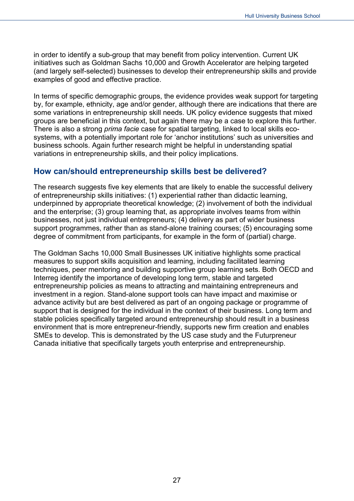in order to identify a sub-group that may benefit from policy intervention. Current UK initiatives such as Goldman Sachs 10,000 and Growth Accelerator are helping targeted (and largely self-selected) businesses to develop their entrepreneurship skills and provide examples of good and effective practice.

In terms of specific demographic groups, the evidence provides weak support for targeting by, for example, ethnicity, age and/or gender, although there are indications that there are some variations in entrepreneurship skill needs. UK policy evidence suggests that mixed groups are beneficial in this context, but again there may be a case to explore this further. There is also a strong *prima facie* case for spatial targeting, linked to local skills ecosystems, with a potentially important role for 'anchor institutions' such as universities and business schools. Again further research might be helpful in understanding spatial variations in entrepreneurship skills, and their policy implications.

## <span id="page-26-0"></span>**How can/should entrepreneurship skills best be delivered?**

The research suggests five key elements that are likely to enable the successful delivery of entrepreneurship skills initiatives: (1) experiential rather than didactic learning, underpinned by appropriate theoretical knowledge; (2) involvement of both the individual and the enterprise; (3) group learning that, as appropriate involves teams from within businesses, not just individual entrepreneurs; (4) delivery as part of wider business support programmes, rather than as stand-alone training courses; (5) encouraging some degree of commitment from participants, for example in the form of (partial) charge.

The Goldman Sachs 10,000 Small Businesses UK initiative highlights some practical measures to support skills acquisition and learning, including facilitated learning techniques, peer mentoring and building supportive group learning sets. Both OECD and Interreg identify the importance of developing long term, stable and targeted entrepreneurship policies as means to attracting and maintaining entrepreneurs and investment in a region. Stand-alone support tools can have impact and maximise or advance activity but are best delivered as part of an ongoing package or programme of support that is designed for the individual in the context of their business. Long term and stable policies specifically targeted around entrepreneurship should result in a business environment that is more entrepreneur-friendly, supports new firm creation and enables SMEs to develop. This is demonstrated by the US case study and the Futurpreneur Canada initiative that specifically targets youth enterprise and entrepreneurship.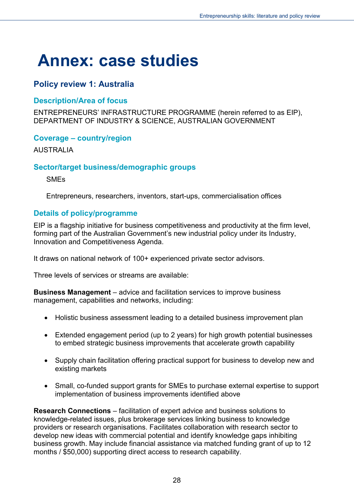## <span id="page-27-0"></span>**Annex: case studies**

## <span id="page-27-1"></span>**Policy review 1: Australia**

### <span id="page-27-2"></span>**Description/Area of focus**

ENTREPRENEURS' INFRASTRUCTURE PROGRAMME (herein referred to as EIP), DEPARTMENT OF INDUSTRY & SCIENCE, AUSTRALIAN GOVERNMENT

### <span id="page-27-3"></span>**Coverage – country/region**

AUSTRALIA

### <span id="page-27-4"></span>**Sector/target business/demographic groups**

SMEs

Entrepreneurs, researchers, inventors, start-ups, commercialisation offices

## <span id="page-27-5"></span>**Details of policy/programme**

EIP is a flagship initiative for business competitiveness and productivity at the firm level, forming part of the Australian Government's new industrial policy under its Industry, Innovation and Competitiveness Agenda.

It draws on national network of 100+ experienced private sector advisors.

Three levels of services or streams are available:

**Business Management** – advice and facilitation services to improve business management, capabilities and networks, including:

- Holistic business assessment leading to a detailed business improvement plan
- Extended engagement period (up to 2 years) for high growth potential businesses to embed strategic business improvements that accelerate growth capability
- Supply chain facilitation offering practical support for business to develop new and existing markets
- Small, co-funded support grants for SMEs to purchase external expertise to support implementation of business improvements identified above

**Research Connections** – facilitation of expert advice and business solutions to knowledge-related issues, plus brokerage services linking business to knowledge providers or research organisations. Facilitates collaboration with research sector to develop new ideas with commercial potential and identify knowledge gaps inhibiting business growth. May include financial assistance via matched funding grant of up to 12 months / \$50,000) supporting direct access to research capability.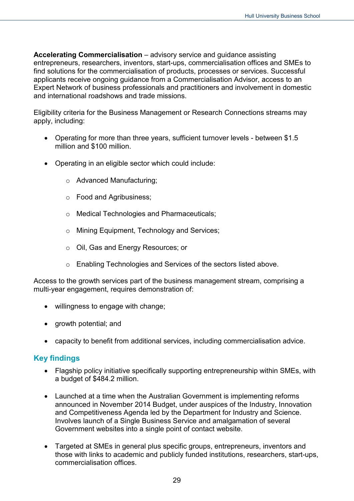**Accelerating Commercialisation** – advisory service and guidance assisting entrepreneurs, researchers, inventors, start-ups, commercialisation offices and SMEs to find solutions for the commercialisation of products, processes or services. Successful applicants receive ongoing guidance from a Commercialisation Advisor, access to an Expert Network of business professionals and practitioners and involvement in domestic and international roadshows and trade missions.

Eligibility criteria for the Business Management or Research Connections streams may apply, including:

- Operating for more than three years, sufficient turnover levels between \$1.5 million and \$100 million.
- Operating in an eligible sector which could include:
	- o Advanced Manufacturing;
	- o Food and Agribusiness;
	- o Medical Technologies and Pharmaceuticals;
	- o Mining Equipment, Technology and Services;
	- o Oil, Gas and Energy Resources; or
	- o Enabling Technologies and Services of the sectors listed above.

Access to the growth services part of the business management stream, comprising a multi-year engagement, requires demonstration of:

- willingness to engage with change;
- growth potential; and
- capacity to benefit from additional services, including commercialisation advice.

#### <span id="page-28-0"></span>**Key findings**

- Flagship policy initiative specifically supporting entrepreneurship within SMEs, with a budget of \$484.2 million.
- Launched at a time when the Australian Government is implementing reforms announced in November 2014 Budget, under auspices of the Industry, Innovation and Competitiveness Agenda led by the Department for Industry and Science. Involves launch of a Single Business Service and amalgamation of several Government websites into a single point of contact website.
- Targeted at SMEs in general plus specific groups, entrepreneurs, inventors and those with links to academic and publicly funded institutions, researchers, start-ups, commercialisation offices.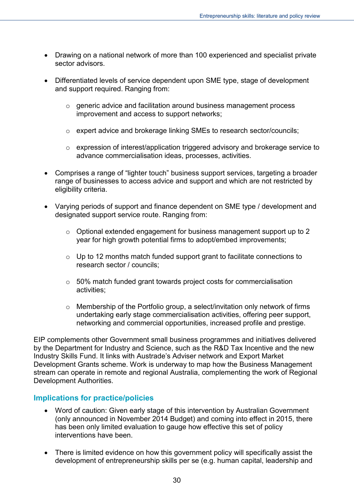- Drawing on a national network of more than 100 experienced and specialist private sector advisors.
- Differentiated levels of service dependent upon SME type, stage of development and support required. Ranging from:
	- o generic advice and facilitation around business management process improvement and access to support networks;
	- o expert advice and brokerage linking SMEs to research sector/councils;
	- o expression of interest/application triggered advisory and brokerage service to advance commercialisation ideas, processes, activities.
- Comprises a range of "lighter touch" business support services, targeting a broader range of businesses to access advice and support and which are not restricted by eligibility criteria.
- Varying periods of support and finance dependent on SME type / development and designated support service route. Ranging from:
	- o Optional extended engagement for business management support up to 2 year for high growth potential firms to adopt/embed improvements;
	- o Up to 12 months match funded support grant to facilitate connections to research sector / councils;
	- o 50% match funded grant towards project costs for commercialisation activities;
	- o Membership of the Portfolio group, a select/invitation only network of firms undertaking early stage commercialisation activities, offering peer support, networking and commercial opportunities, increased profile and prestige.

EIP complements other Government small business programmes and initiatives delivered by the Department for Industry and Science, such as the R&D Tax Incentive and the new Industry Skills Fund. It links with Austrade's Adviser network and Export Market Development Grants scheme. Work is underway to map how the Business Management stream can operate in remote and regional Australia, complementing the work of Regional Development Authorities.

#### <span id="page-29-0"></span>**Implications for practice/policies**

- Word of caution: Given early stage of this intervention by Australian Government (only announced in November 2014 Budget) and coming into effect in 2015, there has been only limited evaluation to gauge how effective this set of policy interventions have been.
- There is limited evidence on how this government policy will specifically assist the development of entrepreneurship skills per se (e.g. human capital, leadership and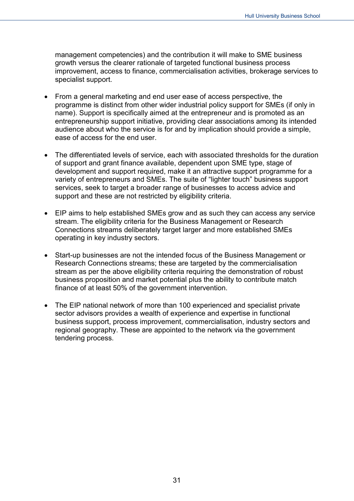management competencies) and the contribution it will make to SME business growth versus the clearer rationale of targeted functional business process improvement, access to finance, commercialisation activities, brokerage services to specialist support.

- From a general marketing and end user ease of access perspective, the programme is distinct from other wider industrial policy support for SMEs (if only in name). Support is specifically aimed at the entrepreneur and is promoted as an entrepreneurship support initiative, providing clear associations among its intended audience about who the service is for and by implication should provide a simple, ease of access for the end user.
- The differentiated levels of service, each with associated thresholds for the duration of support and grant finance available, dependent upon SME type, stage of development and support required, make it an attractive support programme for a variety of entrepreneurs and SMEs. The suite of "lighter touch" business support services, seek to target a broader range of businesses to access advice and support and these are not restricted by eligibility criteria.
- EIP aims to help established SMEs grow and as such they can access any service stream. The eligibility criteria for the Business Management or Research Connections streams deliberately target larger and more established SMEs operating in key industry sectors.
- Start-up businesses are not the intended focus of the Business Management or Research Connections streams; these are targeted by the commercialisation stream as per the above eligibility criteria requiring the demonstration of robust business proposition and market potential plus the ability to contribute match finance of at least 50% of the government intervention.
- The EIP national network of more than 100 experienced and specialist private sector advisors provides a wealth of experience and expertise in functional business support, process improvement, commercialisation, industry sectors and regional geography. These are appointed to the network via the government tendering process.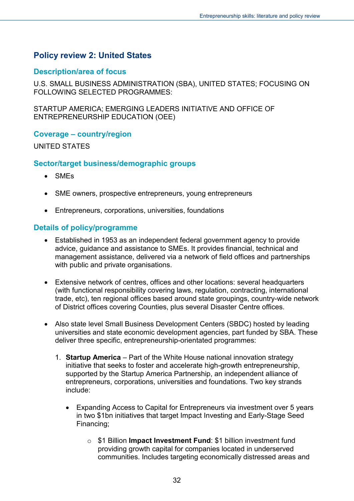## <span id="page-31-0"></span>**Policy review 2: United States**

### <span id="page-31-1"></span>**Description/area of focus**

U.S. SMALL BUSINESS ADMINISTRATION (SBA), UNITED STATES; FOCUSING ON FOLLOWING SELECTED PROGRAMMES:

STARTUP AMERICA; EMERGING LEADERS INITIATIVE AND OFFICE OF ENTREPRENEURSHIP EDUCATION (OEE)

#### <span id="page-31-2"></span>**Coverage – country/region**

UNITED STATES

### <span id="page-31-3"></span>**Sector/target business/demographic groups**

- SMEs
- SME owners, prospective entrepreneurs, young entrepreneurs
- Entrepreneurs, corporations, universities, foundations

### <span id="page-31-4"></span>**Details of policy/programme**

- Established in 1953 as an independent federal government agency to provide advice, guidance and assistance to SMEs. It provides financial, technical and management assistance, delivered via a network of field offices and partnerships with public and private organisations.
- Extensive network of centres, offices and other locations: several headquarters (with functional responsibility covering laws, regulation, contracting, international trade, etc), ten regional offices based around state groupings, country-wide network of District offices covering Counties, plus several Disaster Centre offices.
- Also state level Small Business Development Centers (SBDC) hosted by leading universities and state economic development agencies, part funded by SBA. These deliver three specific, entrepreneurship-orientated programmes:
	- 1. **Startup America** Part of the White House national innovation strategy initiative that seeks to foster and accelerate high-growth entrepreneurship, supported by the Startup America Partnership, an independent alliance of entrepreneurs, corporations, universities and foundations. Two key strands include:
		- Expanding Access to Capital for Entrepreneurs via investment over 5 years in two \$1bn initiatives that target Impact Investing and Early-Stage Seed Financing;
			- o \$1 Billion **Impact Investment Fund**: \$1 billion investment fund providing growth capital for companies located in underserved communities. Includes targeting economically distressed areas and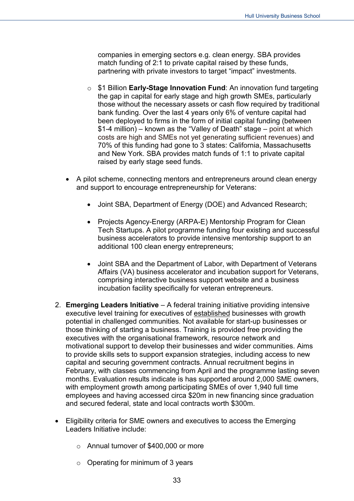companies in emerging sectors e.g. clean energy. SBA provides match funding of 2:1 to private capital raised by these funds, partnering with private investors to target "impact" investments.

- o \$1 Billion **Early-Stage Innovation Fund**: An innovation fund targeting the gap in capital for early stage and high growth SMEs, particularly those without the necessary assets or cash flow required by traditional bank funding. Over the last 4 years only 6% of venture capital had been deployed to firms in the form of initial capital funding (between \$1-4 million) – known as the "Valley of Death" stage – point at which costs are high and SMEs not yet generating sufficient revenues) and 70% of this funding had gone to 3 states: California, Massachusetts and New York. SBA provides match funds of 1:1 to private capital raised by early stage seed funds.
- A pilot scheme, connecting mentors and entrepreneurs around clean energy and support to encourage entrepreneurship for Veterans:
	- Joint SBA, Department of Energy (DOE) and Advanced Research;
	- Projects Agency-Energy (ARPA-E) Mentorship Program for Clean Tech Startups. A pilot programme funding four existing and successful business accelerators to provide intensive mentorship support to an additional 100 clean energy entrepreneurs;
	- Joint SBA and the Department of Labor, with Department of Veterans Affairs (VA) business accelerator and incubation support for Veterans, comprising interactive business support website and a business incubation facility specifically for veteran entrepreneurs.
- 2. **Emerging Leaders Initiative**  A federal training initiative providing intensive executive level training for executives of established businesses with growth potential in challenged communities. Not available for start-up businesses or those thinking of starting a business. Training is provided free providing the executives with the organisational framework, resource network and motivational support to develop their businesses and wider communities. Aims to provide skills sets to support expansion strategies, including access to new capital and securing government contracts. Annual recruitment begins in February, with classes commencing from April and the programme lasting seven months. Evaluation results indicate is has supported around 2,000 SME owners, with employment growth among participating SMEs of over 1,940 full time employees and having accessed circa \$20m in new financing since graduation and secured federal, state and local contracts worth \$300m.
- Eligibility criteria for SME owners and executives to access the Emerging Leaders Initiative include:
	- o Annual turnover of \$400,000 or more
	- $\circ$  Operating for minimum of 3 years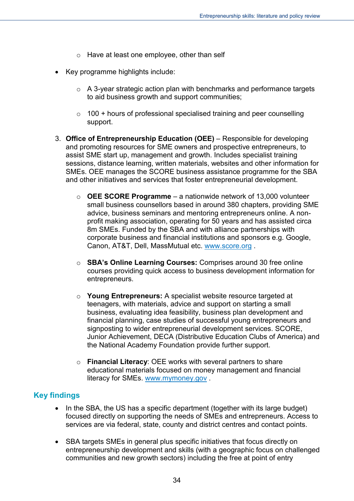- o Have at least one employee, other than self
- Key programme highlights include:
	- $\circ$  A 3-year strategic action plan with benchmarks and performance targets to aid business growth and support communities;
	- $\circ$  100 + hours of professional specialised training and peer counselling support.
- 3. **Office of Entrepreneurship Education (OEE)** Responsible for developing and promoting resources for SME owners and prospective entrepreneurs, to assist SME start up, management and growth. Includes specialist training sessions, distance learning, written materials, websites and other information for SMEs. OEE manages the SCORE business assistance programme for the SBA and other initiatives and services that foster entrepreneurial development.
	- o **OEE SCORE Programme**  a nationwide network of 13,000 volunteer small business counsellors based in around 380 chapters, providing SME advice, business seminars and mentoring entrepreneurs online. A nonprofit making association, operating for 50 years and has assisted circa 8m SMEs. Funded by the SBA and with alliance partnerships with corporate business and financial institutions and sponsors e.g. Google, Canon, AT&T, Dell, MassMutual etc. [www.score.org](http://www.score.org/) .
	- o **SBA's Online Learning Courses:** Comprises around 30 free online courses providing quick access to business development information for entrepreneurs.
	- o **Young Entrepreneurs:** A specialist website resource targeted at teenagers, with materials, advice and support on starting a small business, evaluating idea feasibility, business plan development and financial planning, case studies of successful young entrepreneurs and signposting to wider entrepreneurial development services. SCORE, Junior Achievement, DECA (Distributive Education Clubs of America) and the National Academy Foundation provide further support.
	- o **Financial Literacy**: OEE works with several partners to share educational materials focused on money management and financial literacy for SMEs. [www.mymoney.gov](http://www.mymoney.gov/) [.](http://www.mymoney.gov/)

## <span id="page-33-0"></span>**Key findings**

- In the SBA, the US has a specific department (together with its large budget) focused directly on supporting the needs of SMEs and entrepreneurs. Access to services are via federal, state, county and district centres and contact points.
- SBA targets SMEs in general plus specific initiatives that focus directly on entrepreneurship development and skills (with a geographic focus on challenged communities and new growth sectors) including the free at point of entry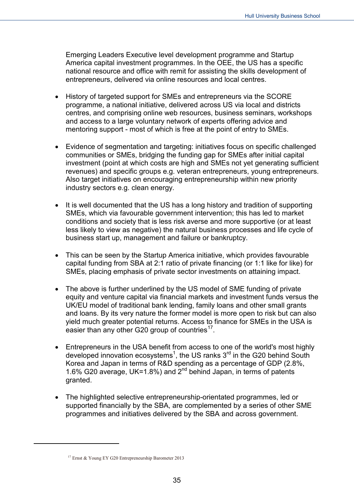Emerging Leaders Executive level development programme and Startup America capital investment programmes. In the OEE, the US has a specific national resource and office with remit for assisting the skills development of entrepreneurs, delivered via online resources and local centres.

- History of targeted support for SMEs and entrepreneurs via the SCORE programme, a national initiative, delivered across US via local and districts centres, and comprising online web resources, business seminars, workshops and access to a large voluntary network of experts offering advice and mentoring support - most of which is free at the point of entry to SMEs.
- Evidence of segmentation and targeting: initiatives focus on specific challenged communities or SMEs, bridging the funding gap for SMEs after initial capital investment (point at which costs are high and SMEs not yet generating sufficient revenues) and specific groups e.g. veteran entrepreneurs, young entrepreneurs. Also target initiatives on encouraging entrepreneurship within new priority industry sectors e.g. clean energy.
- It is well documented that the US has a long history and tradition of supporting SMEs, which via favourable government intervention; this has led to market conditions and society that is less risk averse and more supportive (or at least less likely to view as negative) the natural business processes and life cycle of business start up, management and failure or bankruptcy.
- This can be seen by the Startup America initiative, which provides favourable capital funding from SBA at 2:1 ratio of private financing (or 1:1 like for like) for SMEs, placing emphasis of private sector investments on attaining impact.
- The above is further underlined by the US model of SME funding of private equity and venture capital via financial markets and investment funds versus the UK/EU model of traditional bank lending, family loans and other small grants and loans. By its very nature the former model is more open to risk but can also yield much greater potential returns. Access to finance for SMEs in the USA is easier than any other G20 group of countries<sup>[17](#page-34-0)</sup>.
- Entrepreneurs in the USA benefit from access to one of the world's most highly developed innovation ecosystems<sup>1</sup>, the US ranks  $3<sup>rd</sup>$  in the G20 behind South Korea and Japan in terms of R&D spending as a percentage of GDP (2.8%, 1.6% G20 average, UK=1.8%) and  $2^{nd}$  behind Japan, in terms of patents granted.
- The highlighted selective entrepreneurship-orientated programmes, led or supported financially by the SBA, are complemented by a series of other SME programmes and initiatives delivered by the SBA and across government.

<span id="page-34-0"></span>-

<sup>17</sup> Ernst & Young EY G20 Entrepreneurship Barometer 2013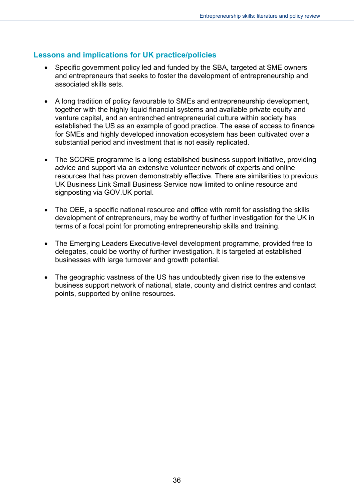### <span id="page-35-0"></span>**Lessons and implications for UK practice/policies**

- Specific government policy led and funded by the SBA, targeted at SME owners and entrepreneurs that seeks to foster the development of entrepreneurship and associated skills sets.
- A long tradition of policy favourable to SMEs and entrepreneurship development, together with the highly liquid financial systems and available private equity and venture capital, and an entrenched entrepreneurial culture within society has established the US as an example of good practice. The ease of access to finance for SMEs and highly developed innovation ecosystem has been cultivated over a substantial period and investment that is not easily replicated.
- The SCORE programme is a long established business support initiative, providing advice and support via an extensive volunteer network of experts and online resources that has proven demonstrably effective. There are similarities to previous UK Business Link Small Business Service now limited to online resource and signposting via GOV.UK portal.
- The OEE, a specific national resource and office with remit for assisting the skills development of entrepreneurs, may be worthy of further investigation for the UK in terms of a focal point for promoting entrepreneurship skills and training.
- The Emerging Leaders Executive-level development programme, provided free to delegates, could be worthy of further investigation. It is targeted at established businesses with large turnover and growth potential.
- The geographic vastness of the US has undoubtedly given rise to the extensive business support network of national, state, county and district centres and contact points, supported by online resources.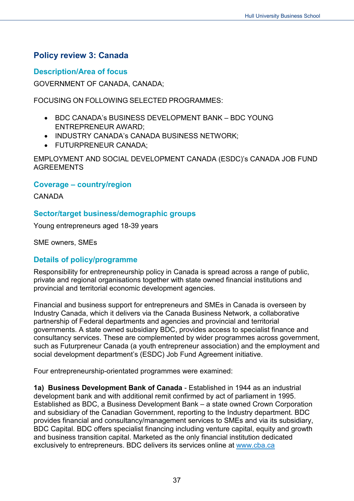## <span id="page-36-0"></span>**Policy review 3: Canada**

#### <span id="page-36-1"></span>**Description/Area of focus**

GOVERNMENT OF CANADA, CANADA;

FOCUSING ON FOLLOWING SELECTED PROGRAMMES:

- BDC CANADA's BUSINESS DEVELOPMENT BANK BDC YOUNG ENTREPRENEUR AWARD;
- INDUSTRY CANADA's CANADA BUSINESS NETWORK;
- FUTURPRENEUR CANADA;

EMPLOYMENT AND SOCIAL DEVELOPMENT CANADA (ESDC)'s CANADA JOB FUND AGREEMENTS

#### <span id="page-36-2"></span>**Coverage – country/region**

CANADA

### <span id="page-36-3"></span>**Sector/target business/demographic groups**

Young entrepreneurs aged 18-39 years

SME owners, SMEs

#### <span id="page-36-4"></span>**Details of policy/programme**

Responsibility for entrepreneurship policy in Canada is spread across a range of public, private and regional organisations together with state owned financial institutions and provincial and territorial economic development agencies.

Financial and business support for entrepreneurs and SMEs in Canada is overseen by Industry Canada, which it delivers via the Canada Business Network, a collaborative partnership of Federal departments and agencies and provincial and territorial governments. A state owned subsidiary BDC, provides access to specialist finance and consultancy services. These are complemented by wider programmes across government, such as Futurpreneur Canada (a youth entrepreneur association) and the employment and social development department's (ESDC) Job Fund Agreement initiative.

Four entrepreneurship-orientated programmes were examined:

**1a) Business Development Bank of Canada** - Established in 1944 as an industrial development bank and with additional remit confirmed by act of parliament in 1995. Established as BDC, a Business Development Bank – a state owned Crown Corporation and subsidiary of the Canadian Government, reporting to the Industry department. BDC provides financial and consultancy/management services to SMEs and via its subsidiary, BDC Capital. BDC offers specialist financing including venture capital, equity and growth and business transition capital. Marketed as the only financial institution dedicated exclusively to entrepreneurs. BDC delivers its services online at [www.cba.ca](http://www.cba.ca/)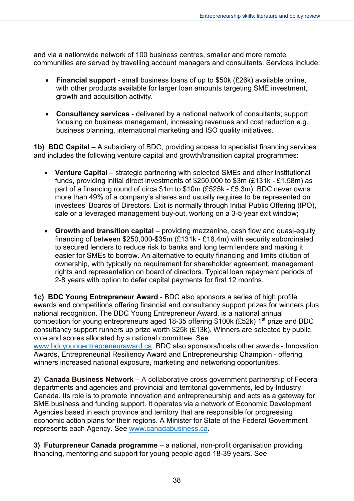and via a nationwide network of 100 business centres, smaller and more remote communities are served by travelling account managers and consultants. Services include:

- **Financial support** small business loans of up to \$50k (£26k) available online, with other products available for larger loan amounts targeting SME investment. growth and acquisition activity.
- **Consultancy services** delivered by a national network of consultants; support focusing on business management, increasing revenues and cost reduction e.g. business planning, international marketing and ISO quality initiatives.

**1b) BDC Capital** – A subsidiary of BDC, providing access to specialist financing services and includes the following venture capital and growth/transition capital programmes:

- **Venture Capital** strategic partnering with selected SMEs and other institutional funds, providing initial direct investments of \$250,000 to \$3m (£131k - £1.58m) as part of a financing round of circa \$1m to \$10m (£525k - £5.3m). BDC never owns more than 49% of a company's shares and usually requires to be represented on investees' Boards of Directors. Exit is normally through Initial Public Offering (IPO), sale or a leveraged management buy-out, working on a 3-5 year exit window;
- **Growth and transition capital** providing mezzanine, cash flow and quasi-equity financing of between \$250,000-\$35m (£131k - £18.4m) with security subordinated to secured lenders to reduce risk to banks and long term lenders and making it easier for SMEs to borrow. An alternative to equity financing and limits dilution of ownership, with typically no requirement for shareholder agreement, management rights and representation on board of directors. Typical loan repayment periods of 2-8 years with option to defer capital payments for first 12 months.

**1c) BDC Young Entrepreneur Award** - BDC also sponsors a series of high profile awards and competitions offering financial and consultancy support prizes for winners plus national recognition. The BDC Young Entrepreneur Award, is a national annual competition for young entrepreneurs aged 18-35 offering \$100k (£52k)  $1<sup>st</sup>$  prize and BDC consultancy support runners up prize worth \$25k (£13k). Winners are selected by public vote and scores allocated by a national committee. See

[www.bdcyoungentrepreneuraward.ca.](http://www.bdcyoungentrepreneuraward.ca/) BDC also sponsors/hosts other awards - Innovation Awards, Entrepreneurial Resiliency Award and Entrepreneurship Champion - offering winners increased national exposure, marketing and networking opportunities.

**2) Canada Business Network** – A collaborative cross government partnership of Federal departments and agencies and provincial and territorial governments, led by Industry Canada. Its role is to promote innovation and entrepreneurship and acts as a gateway for SME business and funding support. It operates via a network of Economic Development Agencies based in each province and territory that are responsible for progressing economic action plans for their regions. A Minister for State of the Federal Government represents each Agency. See [www.canadabusiness.ca](http://www.canadabusiness.ca/)**.**

**3) Futurpreneur Canada programme** – a national, non-profit organisation providing financing, mentoring and support for young people aged 18-39 years. See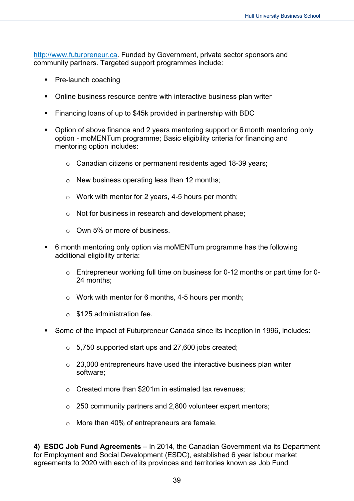[http://www.futurpreneur.ca.](http://www.futurpreneur.ca/) Funded by Government, private sector sponsors and community partners. Targeted support programmes include:

- Pre-launch coaching
- Online business resource centre with interactive business plan writer
- Financing loans of up to \$45k provided in partnership with BDC
- Option of above finance and 2 years mentoring support or 6 month mentoring only option - moMENTum programme; Basic eligibility criteria for financing and mentoring option includes:
	- o Canadian citizens or permanent residents aged 18-39 years;
	- $\circ$  New business operating less than 12 months;
	- $\circ$  Work with mentor for 2 years, 4-5 hours per month;
	- o Not for business in research and development phase;
	- o Own 5% or more of business.
- 6 month mentoring only option via moMENTum programme has the following additional eligibility criteria:
	- $\circ$  Entrepreneur working full time on business for 0-12 months or part time for 0-24 months;
	- o Work with mentor for 6 months, 4-5 hours per month;
	- $\circ$  \$125 administration fee.
- Some of the impact of Futurpreneur Canada since its inception in 1996, includes:
	- o 5,750 supported start ups and 27,600 jobs created;
	- $\circ$  23,000 entrepreneurs have used the interactive business plan writer software;
	- o Created more than \$201m in estimated tax revenues;
	- o 250 community partners and 2,800 volunteer expert mentors;
	- o More than 40% of entrepreneurs are female.

**4) ESDC Job Fund Agreements** – In 2014, the Canadian Government via its Department for Employment and Social Development (ESDC), established 6 year labour market agreements to 2020 with each of its provinces and territories known as Job Fund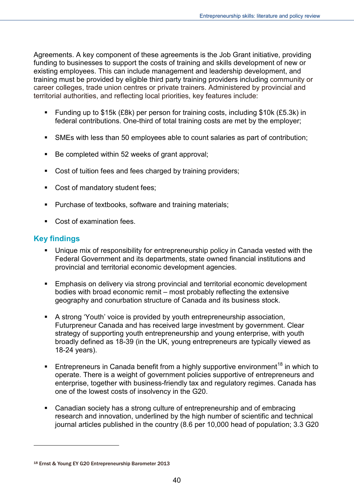Agreements. A key component of these agreements is the Job Grant initiative, providing funding to businesses to support the costs of training and skills development of new or existing employees. This can include management and leadership development, and training must be provided by eligible third party training providers including community or career colleges, trade union centres or private trainers. Administered by provincial and territorial authorities, and reflecting local priorities, key features include:

- Funding up to \$15k (£8k) per person for training costs, including \$10k (£5.3k) in federal contributions. One-third of total training costs are met by the employer;
- SMEs with less than 50 employees able to count salaries as part of contribution;
- Be completed within 52 weeks of grant approval:
- Cost of tuition fees and fees charged by training providers;
- Cost of mandatory student fees;
- Purchase of textbooks, software and training materials;
- Cost of examination fees.

## <span id="page-39-0"></span>**Key findings**

-

- Unique mix of responsibility for entrepreneurship policy in Canada vested with the Federal Government and its departments, state owned financial institutions and provincial and territorial economic development agencies.
- Emphasis on delivery via strong provincial and territorial economic development bodies with broad economic remit – most probably reflecting the extensive geography and conurbation structure of Canada and its business stock.
- A strong 'Youth' voice is provided by youth entrepreneurship association, Futurpreneur Canada and has received large investment by government. Clear strategy of supporting youth entrepreneurship and young enterprise, with youth broadly defined as 18-39 (in the UK, young entrepreneurs are typically viewed as 18-24 years).
- **Entrepreneurs in Canada benefit from a highly supportive environment**<sup>[18](#page-39-1)</sup> in which to operate. There is a weight of government policies supportive of entrepreneurs and enterprise, together with business-friendly tax and regulatory regimes. Canada has one of the lowest costs of insolvency in the G20.
- Canadian society has a strong culture of entrepreneurship and of embracing research and innovation, underlined by the high number of scientific and technical journal articles published in the country (8.6 per 10,000 head of population; 3.3 G20

<span id="page-39-1"></span><sup>18</sup> Ernst & Young EY G20 Entrepreneurship Barometer 2013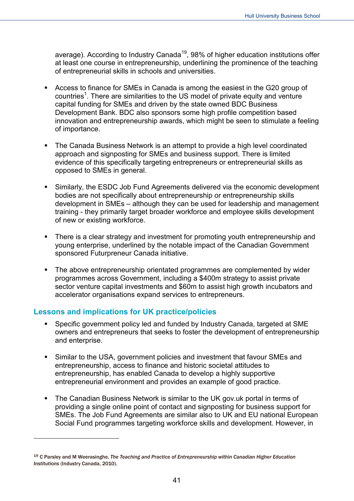average). According to Industry Canada<sup>[19](#page-40-1)</sup>, 98% of higher education institutions offer at least one course in entrepreneurship, underlining the prominence of the teaching of entrepreneurial skills in schools and universities.

- Access to finance for SMEs in Canada is among the easiest in the G20 group of countries<sup>1</sup>. There are similarities to the US model of private equity and venture capital funding for SMEs and driven by the state owned BDC Business Development Bank. BDC also sponsors some high profile competition based innovation and entrepreneurship awards, which might be seen to stimulate a feeling of importance.
- The Canada Business Network is an attempt to provide a high level coordinated approach and signposting for SMEs and business support. There is limited evidence of this specifically targeting entrepreneurs or entrepreneurial skills as opposed to SMEs in general.
- Similarly, the ESDC Job Fund Agreements delivered via the economic development bodies are not specifically about entrepreneurship or entrepreneurship skills development in SMEs – although they can be used for leadership and management training - they primarily target broader workforce and employee skills development of new or existing workforce.
- There is a clear strategy and investment for promoting youth entrepreneurship and young enterprise, underlined by the notable impact of the Canadian Government sponsored Futurpreneur Canada initiative.
- The above entrepreneurship orientated programmes are complemented by wider programmes across Government, including a \$400m strategy to assist private sector venture capital investments and \$60m to assist high growth incubators and accelerator organisations expand services to entrepreneurs.

#### <span id="page-40-0"></span>**Lessons and implications for UK practice/policies**

-

- Specific government policy led and funded by Industry Canada, targeted at SME owners and entrepreneurs that seeks to foster the development of entrepreneurship and enterprise.
- Similar to the USA, government policies and investment that favour SMEs and entrepreneurship, access to finance and historic societal attitudes to entrepreneurship, has enabled Canada to develop a highly supportive entrepreneurial environment and provides an example of good practice.
- The Canadian Business Network is similar to the UK gov.uk portal in terms of providing a single online point of contact and signposting for business support for SMEs. The Job Fund Agreements are similar also to UK and EU national European Social Fund programmes targeting workforce skills and development. However, in

<span id="page-40-1"></span><sup>19</sup> C Parsley and M Weerasinghe, *The Teaching and Practice of Entrepreneurship within Canadian Higher Education Institutions* (Industry Canada, 2010).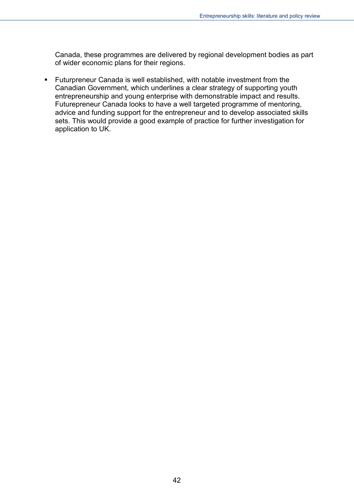Canada, these programmes are delivered by regional development bodies as part of wider economic plans for their regions.

 Futurpreneur Canada is well established, with notable investment from the Canadian Government, which underlines a clear strategy of supporting youth entrepreneurship and young enterprise with demonstrable impact and results. Futurepreneur Canada looks to have a well targeted programme of mentoring, advice and funding support for the entrepreneur and to develop associated skills sets. This would provide a good example of practice for further investigation for application to UK.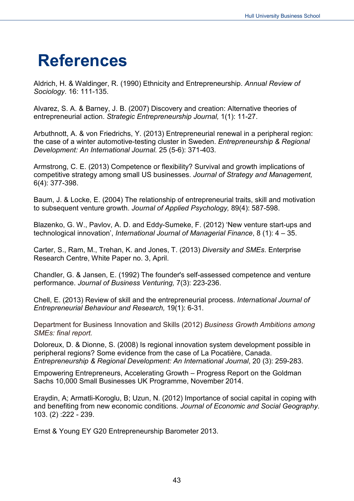## <span id="page-42-0"></span>**References**

Aldrich, H. & Waldinger, R. (1990) Ethnicity and Entrepreneurship. *Annual Review of Sociology*. 16: 111-135.

Alvarez, S. A. & Barney, J. B. (2007) Discovery and creation: Alternative theories of entrepreneurial action. *Strategic Entrepreneurship Journal,* 1(1): 11-27.

Arbuthnott, A. & von Friedrichs, Y. (2013) Entrepreneurial renewal in a peripheral region: the case of a winter automotive-testing cluster in Sweden. *Entrepreneurship & Regional Development: An International Journal.* 25 (5-6): 371-403.

Armstrong, C. E. (2013) Competence or flexibility? Survival and growth implications of competitive strategy among small US businesses. *Journal of Strategy and Management,*  6(4): 377-398.

Baum, J. & Locke, E. (2004) The relationship of entrepreneurial traits, skill and motivation to subsequent venture growth. *Journal of Applied Psychology,* 89(4): 587-598.

Blazenko, G. W., Pavlov, A. D. and Eddy-Sumeke, F. (2012) 'New venture start-ups and technological innovation', *International Journal of Managerial Finance*, 8 (1): 4 – 35.

Carter, S., Ram, M., Trehan, K. and Jones, T. (2013) *Diversity and SMEs*. Enterprise Research Centre, White Paper no. 3, April.

Chandler, G. & Jansen, E. (1992) The founder's self-assessed competence and venture performance. *Journal of Business Venturing,* 7(3): 223-236.

Chell, E. (2013) Review of skill and the entrepreneurial process. *International Journal of Entrepreneurial Behaviour and Research,* 19(1): 6-31.

Department for Business Innovation and Skills (2012) *Business Growth Ambitions among SMEs: final report.*

Doloreux, D. & Dionne, S. (2008) Is regional innovation system development possible in peripheral regions? Some evidence from the case of La Pocatière, Canada. *Entrepreneurship & Regional Development: An International Journal*, 20 (3): 259-283.

Empowering Entrepreneurs, Accelerating Growth – Progress Report on the Goldman Sachs 10,000 Small Businesses UK Programme, November 2014.

Eraydin, A; Armatli-Koroglu, B; Uzun, N. (2012) Importance of social capital in coping with and benefiting from new economic conditions. *Journal of Economic and Social Geography*. 103. (2) :222 - 239.

Ernst & Young EY G20 Entrepreneurship Barometer 2013.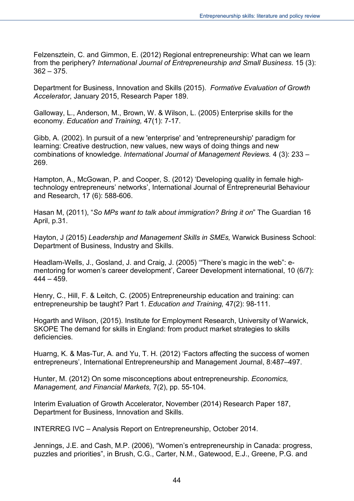Felzensztein, C. and Gimmon, E. (2012) Regional entrepreneurship: What can we learn from the periphery? *International Journal of Entrepreneurship and Small Business*. 15 (3):  $362 - 375$ .

Department for Business, Innovation and Skills (2015). *Formative Evaluation of Growth Accelerator*, January 2015, Research Paper 189.

Galloway, L., Anderson, M., Brown, W. & Wilson, L. (2005) Enterprise skills for the economy. *Education and Training,* 47(1): 7-17.

Gibb, A. (2002). In pursuit of a new 'enterprise' and 'entrepreneurship' paradigm for learning: Creative destruction, new values, new ways of doing things and new combinations of knowledge. *International Journal of Management Reviews.* 4 (3): 233 – 269.

Hampton, A., McGowan, P. and Cooper, S. (2012) 'Developing quality in female hightechnology entrepreneurs' networks', International Journal of Entrepreneurial Behaviour and Research, 17 (6): 588-606.

Hasan M, (2011), "*So MPs want to talk about immigration? Bring it on*" The Guardian 16 April, p.31.

Hayton, J (2015) *Leadership and Management Skills in SMEs,* Warwick Business School: Department of Business, Industry and Skills.

Headlam-Wells, J., Gosland, J. and Craig, J. (2005) '"There's magic in the web": ementoring for women's career development', Career Development international, 10 (6/7):  $444 - 459$ 

Henry, C., Hill, F. & Leitch, C. (2005) Entrepreneurship education and training: can entrepreneurship be taught? Part 1. *Education and Training,* 47(2): 98-111.

Hogarth and Wilson, (2015). Institute for Employment Research, University of Warwick, SKOPE The demand for skills in England: from product market strategies to skills deficiencies.

Huarng, K. & Mas-Tur, A. and Yu, T. H. (2012) 'Factors affecting the success of women entrepreneurs', International Entrepreneurship and Management Journal, 8:487–497.

Hunter, M. (2012) On some misconceptions about entrepreneurship. *Economics, Management, and Financial Markets,* 7(2), pp. 55-104.

Interim Evaluation of Growth Accelerator, November (2014) Research Paper 187, Department for Business, Innovation and Skills.

INTERREG IVC – Analysis Report on Entrepreneurship, October 2014.

Jennings, J.E. and Cash, M.P. (2006), "Women's entrepreneurship in Canada: progress, puzzles and priorities", in Brush, C.G., Carter, N.M., Gatewood, E.J., Greene, P.G. and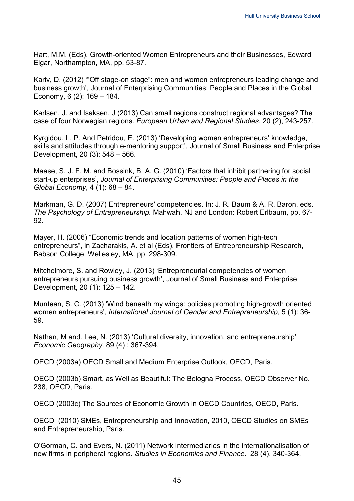Hart, M.M. (Eds), Growth-oriented Women Entrepreneurs and their Businesses, Edward Elgar, Northampton, MA, pp. 53-87.

Kariv, D. (2012) '"Off stage-on stage": men and women entrepreneurs leading change and business growth', Journal of Enterprising Communities: People and Places in the Global Economy, 6 (2): 169 – 184.

Karlsen, J. and Isaksen, J (2013) Can small regions construct regional advantages? The case of four Norwegian regions. *European Urban and Regional Studies*. 20 (2), 243-257.

Kyrgidou, L. P. And Petridou, E. (2013) 'Developing women entrepreneurs' knowledge, skills and attitudes through e-mentoring support', Journal of Small Business and Enterprise Development, 20 (3): 548 – 566.

Maase, S. J. F. M. and Bossink, B. A. G. (2010) 'Factors that inhibit partnering for social start-up enterprises', *Journal of Enterprising Communities: People and Places in the Global Economy*, 4 (1): 68 – 84.

Markman, G. D. (2007) Entrepreneurs' competencies. In: J. R. Baum & A. R. Baron, eds. *The Psychology of Entrepreneurship.* Mahwah, NJ and London: Robert Erlbaum, pp. 67- 92.

Mayer, H. (2006) "Economic trends and location patterns of women high-tech entrepreneurs", in Zacharakis, A. et al (Eds), Frontiers of Entrepreneurship Research, Babson College, Wellesley, MA, pp. 298-309.

Mitchelmore, S. and Rowley, J. (2013) 'Entrepreneurial competencies of women entrepreneurs pursuing business growth', Journal of Small Business and Enterprise Development, 20 (1): 125 – 142.

Muntean, S. C. (2013) 'Wind beneath my wings: policies promoting high-growth oriented women entrepreneurs', *International Journal of Gender and Entrepreneurship*, 5 (1): 36- 59.

Nathan, M and. Lee, N. (2013) 'Cultural diversity, innovation, and entrepreneurship' *Economic Geography.* 89 (4) : 367-394.

OECD (2003a) OECD Small and Medium Enterprise Outlook, OECD, Paris.

OECD (2003b) Smart, as Well as Beautiful: The Bologna Process, OECD Observer No. 238, OECD, Paris.

OECD (2003c) The Sources of Economic Growth in OECD Countries, OECD, Paris.

OECD (2010) SMEs, Entrepreneurship and Innovation, 2010, OECD Studies on SMEs and Entrepreneurship, Paris.

O'Gorman, C. and Evers, N. (2011) Network intermediaries in the internationalisation of new firms in peripheral regions. *Studies in Economics and Finance*. 28 (4). 340-364.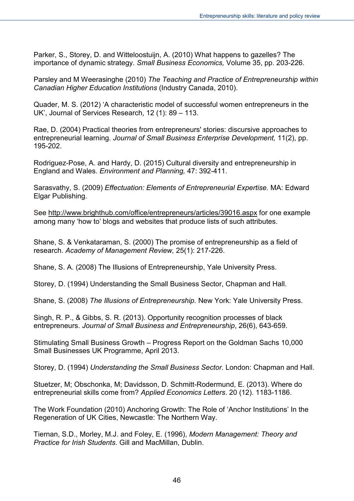Parker, S., Storey, D. and Witteloostuijn, A. (2010) What happens to gazelles? The importance of dynamic strategy. *Small Business Economics,* Volume 35, pp. 203-226.

Parsley and M Weerasinghe (2010) *The Teaching and Practice of Entrepreneurship within Canadian Higher Education Institutions* (Industry Canada, 2010).

Quader, M. S. (2012) 'A characteristic model of successful women entrepreneurs in the UK', Journal of Services Research, 12 (1): 89 – 113.

Rae, D. (2004) Practical theories from entrepreneurs' stories: discursive approaches to entrepreneurial learning. *Journal of Small Business Enterprise Development,* 11(2), pp. 195-202.

Rodriguez-Pose, A. and Hardy, D. (2015) Cultural diversity and entrepreneurship in England and Wales. *Environment and Planning,* 47: 392-411.

Sarasvathy, S. (2009) *Effectuation: Elements of Entrepreneurial Expertise.* MA: Edward Elgar Publishing.

See<http://www.brighthub.com/office/entrepreneurs/articles/39016.aspx> for one example among many 'how to' blogs and websites that produce lists of such attributes.

Shane, S. & Venkataraman, S. (2000) The promise of entrepreneurship as a field of research. *Academy of Management Review,* 25(1): 217-226.

Shane, S. A. (2008) The Illusions of Entrepreneurship, Yale University Press.

Storey, D. (1994) Understanding the Small Business Sector, Chapman and Hall.

Shane, S. (2008) *The Illusions of Entrepreneurship.* New York: Yale University Press.

Singh, R. P., & Gibbs, S. R. (2013). Opportunity recognition processes of black entrepreneurs. *Journal of Small Business and Entrepreneurship*, 26(6), 643-659.

Stimulating Small Business Growth – Progress Report on the Goldman Sachs 10,000 Small Businesses UK Programme, April 2013.

Storey, D. (1994) *Understanding the Small Business Sector.* London: Chapman and Hall.

Stuetzer, M; Obschonka, M; Davidsson, D. Schmitt-Rodermund, E. (2013). Where do entrepreneurial skills come from? *Applied Economics Letters*. 20 (12). 1183-1186.

The Work Foundation (2010) Anchoring Growth: The Role of 'Anchor Institutions' In the Regeneration of UK Cities, Newcastle: The Northern Way.

Tiernan, S.D., Morley, M.J. and Foley, E. (1996), *Modern Management: Theory and Practice for Irish Students*. Gill and MacMillan, Dublin.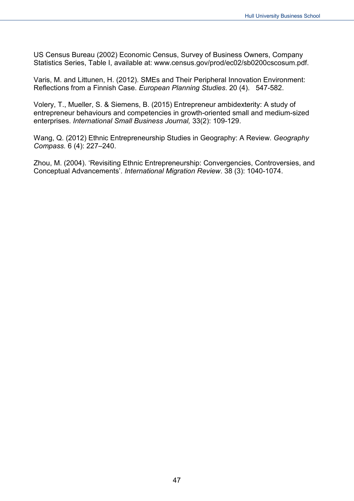US Census Bureau (2002) Economic Census, Survey of Business Owners, Company Statistics Series, Table I, available at: www.census.gov/prod/ec02/sb0200cscosum.pdf.

Varis, M. and Littunen, H. (2012). SMEs and Their Peripheral Innovation Environment: Reflections from a Finnish Case. *European Planning Studies*. 20 (4). 547-582.

Volery, T., Mueller, S. & Siemens, B. (2015) Entrepreneur ambidexterity: A study of entrepreneur behaviours and competencies in growth-oriented small and medium-sized enterprises. *International Small Business Journal,* 33(2): 109-129.

Wang, Q. (2012) Ethnic Entrepreneurship Studies in Geography: A Review. *Geography Compass.* 6 (4): 227–240.

Zhou, M. (2004). 'Revisiting Ethnic Entrepreneurship: Convergencies, Controversies, and Conceptual Advancements'. *International Migration Review*. 38 (3): 1040-1074.